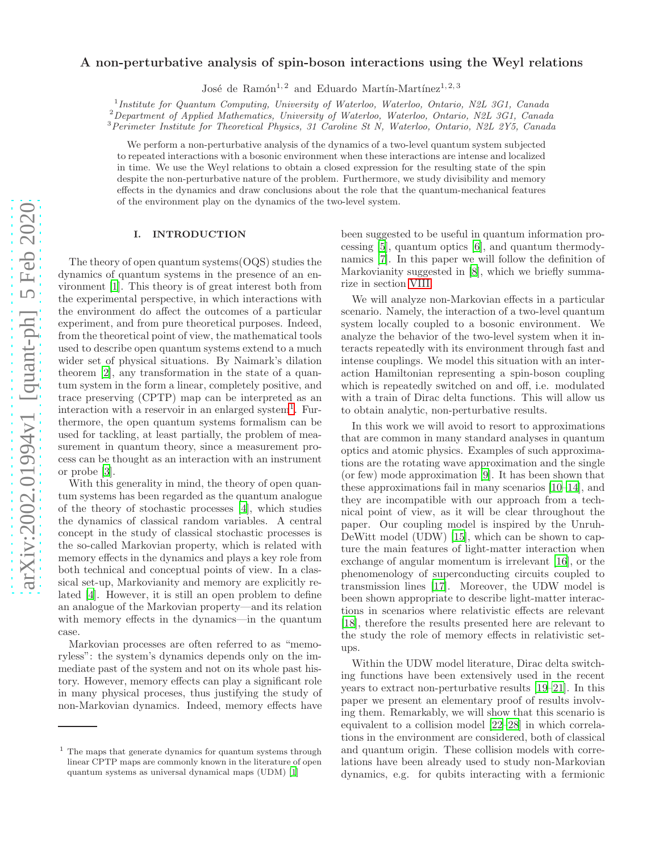# arXiv:2002.01994v1 [quant-ph] 5 Feb 2020 [arXiv:2002.01994v1 \[quant-ph\] 5 Feb 2020](http://arxiv.org/abs/2002.01994v1)

# A non-perturbative analysis of spin-boson interactions using the Weyl relations

José de Ramón<sup>1, 2</sup> and Eduardo Martín-Martínez<sup>1, 2, 3</sup>

<sup>1</sup> Institute for Quantum Computing, University of Waterloo, Waterloo, Ontario, N2L 3G1, Canada

<sup>2</sup>Department of Applied Mathematics, University of Waterloo, Waterloo, Ontario, N2L 3G1, Canada

<sup>3</sup>Perimeter Institute for Theoretical Physics, 31 Caroline St N, Waterloo, Ontario, N2L 2Y5, Canada

We perform a non-perturbative analysis of the dynamics of a two-level quantum system subjected to repeated interactions with a bosonic environment when these interactions are intense and localized in time. We use the Weyl relations to obtain a closed expression for the resulting state of the spin despite the non-perturbative nature of the problem. Furthermore, we study divisibility and memory effects in the dynamics and draw conclusions about the role that the quantum-mechanical features of the environment play on the dynamics of the two-level system.

# I. INTRODUCTION

The theory of open quantum systems(OQS) studies the dynamics of quantum systems in the presence of an environment [\[1](#page-18-0)]. This theory is of great interest both from the experimental perspective, in which interactions with the environment do affect the outcomes of a particular experiment, and from pure theoretical purposes. Indeed, from the theoretical point of view, the mathematical tools used to describe open quantum systems extend to a much wider set of physical situations. By Naimark's dilation theorem [\[2](#page-18-1)], any transformation in the state of a quantum system in the form a linear, completely positive, and trace preserving (CPTP) map can be interpreted as an interaction with a reservoir in an enlarged system<sup>[1](#page-0-0)</sup>. Furthermore, the open quantum systems formalism can be used for tackling, at least partially, the problem of measurement in quantum theory, since a measurement process can be thought as an interaction with an instrument or probe [\[3\]](#page-18-2).

With this generality in mind, the theory of open quantum systems has been regarded as the quantum analogue of the theory of stochastic processes [\[4](#page-18-3)], which studies the dynamics of classical random variables. A central concept in the study of classical stochastic processes is the so-called Markovian property, which is related with memory effects in the dynamics and plays a key role from both technical and conceptual points of view. In a classical set-up, Markovianity and memory are explicitly related [\[4](#page-18-3)]. However, it is still an open problem to define an analogue of the Markovian property—and its relation with memory effects in the dynamics—in the quantum case.

Markovian processes are often referred to as "memoryless": the system's dynamics depends only on the immediate past of the system and not on its whole past history. However, memory effects can play a significant role in many physical proceses, thus justifying the study of non-Markovian dynamics. Indeed, memory effects have been suggested to be useful in quantum information processing [\[5](#page-18-4)], quantum optics [\[6](#page-18-5)], and quantum thermodynamics [\[7](#page-18-6)]. In this paper we will follow the definition of Markovianity suggested in [\[8\]](#page-18-7), which we briefly summarize in section [VIII.](#page-11-0)

We will analyze non-Markovian effects in a particular scenario. Namely, the interaction of a two-level quantum system locally coupled to a bosonic environment. We analyze the behavior of the two-level system when it interacts repeatedly with its environment through fast and intense couplings. We model this situation with an interaction Hamiltonian representing a spin-boson coupling which is repeatedly switched on and off, i.e. modulated with a train of Dirac delta functions. This will allow us to obtain analytic, non-perturbative results.

In this work we will avoid to resort to approximations that are common in many standard analyses in quantum optics and atomic physics. Examples of such approximations are the rotating wave approximation and the single (or few) mode approximation [\[9\]](#page-18-8). It has been shown that these approximations fail in many scenarios [\[10](#page-18-9)[–14](#page-18-10)], and they are incompatible with our approach from a technical point of view, as it will be clear throughout the paper. Our coupling model is inspired by the Unruh-DeWitt model (UDW) [\[15\]](#page-18-11), which can be shown to capture the main features of light-matter interaction when exchange of angular momentum is irrelevant [\[16\]](#page-18-12), or the phenomenology of superconducting circuits coupled to transmission lines [\[17](#page-18-13)]. Moreover, the UDW model is been shown appropriate to describe light-matter interactions in scenarios where relativistic effects are relevant [\[18\]](#page-18-14), therefore the results presented here are relevant to the study the role of memory effects in relativistic setups.

Within the UDW model literature, Dirac delta switching functions have been extensively used in the recent years to extract non-perturbative results [\[19](#page-18-15)[–21\]](#page-18-16). In this paper we present an elementary proof of results involving them. Remarkably, we will show that this scenario is equivalent to a collision model [\[22](#page-18-17)[–28](#page-18-18)] in which correlations in the environment are considered, both of classical and quantum origin. These collision models with correlations have been already used to study non-Markovian dynamics, e.g. for qubits interacting with a fermionic

<span id="page-0-0"></span><sup>&</sup>lt;sup>1</sup> The maps that generate dynamics for quantum systems through linear CPTP maps are commonly known in the literature of open quantum systems as universal dynamical maps (UDM) [\[1](#page-18-0)]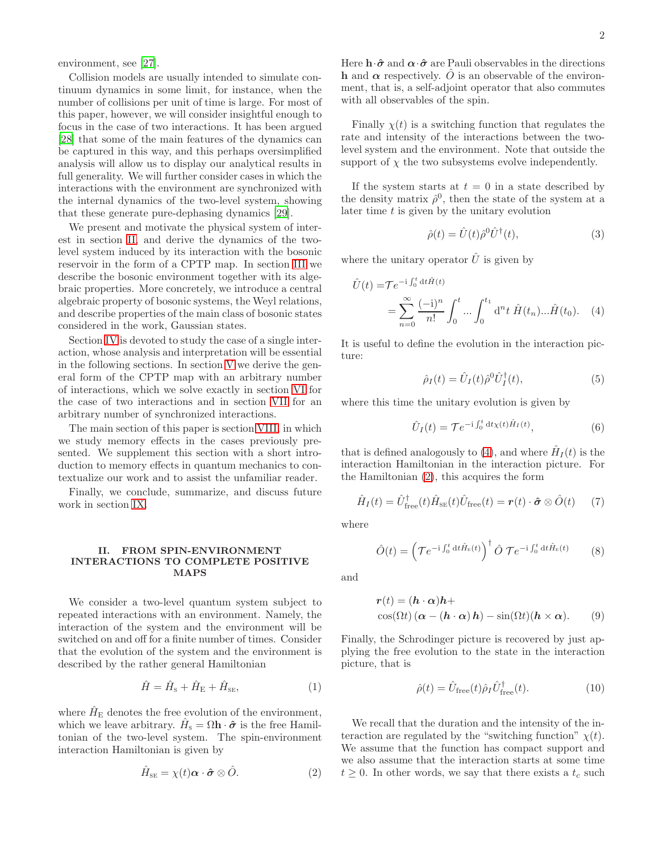environment, see [\[27\]](#page-18-19).

Collision models are usually intended to simulate continuum dynamics in some limit, for instance, when the number of collisions per unit of time is large. For most of this paper, however, we will consider insightful enough to focus in the case of two interactions. It has been argued [\[28\]](#page-18-18) that some of the main features of the dynamics can be captured in this way, and this perhaps oversimplified analysis will allow us to display our analytical results in full generality. We will further consider cases in which the interactions with the environment are synchronized with the internal dynamics of the two-level system, showing that these generate pure-dephasing dynamics [\[29\]](#page-18-20).

We present and motivate the physical system of interest in section [II,](#page-1-0) and derive the dynamics of the twolevel system induced by its interaction with the bosonic reservoir in the form of a CPTP map. In section [III](#page-2-0) we describe the bosonic environment together with its algebraic properties. More concretely, we introduce a central algebraic property of bosonic systems, the Weyl relations, and describe properties of the main class of bosonic states considered in the work, Gaussian states.

Section [IV](#page-4-0) is devoted to study the case of a single interaction, whose analysis and interpretation will be essential in the following sections. In section [V](#page-6-0) we derive the general form of the CPTP map with an arbitrary number of interactions, which we solve exactly in section [VI](#page-7-0) for the case of two interactions and in section [VII](#page-9-0) for an arbitrary number of synchronized interactions.

The main section of this paper is section [VIII,](#page-11-0) in which we study memory effects in the cases previously presented. We supplement this section with a short introduction to memory effects in quantum mechanics to contextualize our work and to assist the unfamiliar reader.

Finally, we conclude, summarize, and discuss future work in section [IX.](#page-14-0)

# <span id="page-1-0"></span>II. FROM SPIN-ENVIRONMENT INTERACTIONS TO COMPLETE POSITIVE MAPS

We consider a two-level quantum system subject to repeated interactions with an environment. Namely, the interaction of the system and the environment will be switched on and off for a finite number of times. Consider that the evolution of the system and the environment is described by the rather general Hamiltonian

$$
\hat{H} = \hat{H}_{\rm S} + \hat{H}_{\rm E} + \hat{H}_{\rm SE},\tag{1}
$$

where  $\hat{H}_{\rm E}$  denotes the free evolution of the environment, which we leave arbitrary.  $\hat{H}_{s} = \Omega \mathbf{h} \cdot \hat{\boldsymbol{\sigma}}$  is the free Hamiltonian of the two-level system. The spin-environment interaction Hamiltonian is given by

<span id="page-1-2"></span>
$$
\hat{H}_{\rm SE} = \chi(t)\boldsymbol{\alpha} \cdot \boldsymbol{\hat{\sigma}} \otimes \hat{O}.
$$
 (2)

Here  $\mathbf{h} \cdot \hat{\boldsymbol{\sigma}}$  and  $\boldsymbol{\alpha} \cdot \hat{\boldsymbol{\sigma}}$  are Pauli observables in the directions h and  $\alpha$  respectively. O is an observable of the environment, that is, a self-adjoint operator that also commutes with all observables of the spin.

Finally  $\chi(t)$  is a switching function that regulates the rate and intensity of the interactions between the twolevel system and the environment. Note that outside the support of  $\chi$  the two subsystems evolve independently.

If the system starts at  $t = 0$  in a state described by the density matrix  $\hat{\rho}^0$ , then the state of the system at a later time  $t$  is given by the unitary evolution

<span id="page-1-1"></span>
$$
\hat{\rho}(t) = \hat{U}(t)\hat{\rho}^{0}\hat{U}^{\dagger}(t),\tag{3}
$$

where the unitary operator  $\hat{U}$  is given by

$$
\hat{U}(t) = \mathcal{T} e^{-i \int_0^t dt \hat{H}(t)} \n= \sum_{n=0}^{\infty} \frac{(-i)^n}{n!} \int_0^t ... \int_0^{t_1} d^n t \hat{H}(t_n) ... \hat{H}(t_0).
$$
\n(4)

It is useful to define the evolution in the interaction picture:

$$
\hat{\rho}_I(t) = \hat{U}_I(t)\hat{\rho}^0 \hat{U}_I^{\dagger}(t), \tag{5}
$$

where this time the unitary evolution is given by

<span id="page-1-3"></span>
$$
\hat{U}_I(t) = \mathcal{T}e^{-i\int_0^t dt \chi(t)\hat{H}_I(t)},\tag{6}
$$

that is defined analogously to [\(4\)](#page-1-1), and where  $\hat{H}_I(t)$  is the interaction Hamiltonian in the interaction picture. For the Hamiltonian [\(2\)](#page-1-2), this acquires the form

$$
\hat{H}_I(t) = \hat{U}_{\text{free}}^{\dagger}(t)\hat{H}_{\text{SE}}(t)\hat{U}_{\text{free}}(t) = \boldsymbol{r}(t) \cdot \boldsymbol{\hat{\sigma}} \otimes \hat{O}(t) \tag{7}
$$

where

$$
\hat{O}(t) = \left(\mathcal{T}e^{-i\int_0^t dt \hat{H}_E(t)}\right)^{\dagger} \hat{O} \mathcal{T}e^{-i\int_0^t dt \hat{H}_E(t)} \tag{8}
$$

and

$$
\mathbf{r}(t) = (\mathbf{h} \cdot \boldsymbol{\alpha})\mathbf{h} + \cos(\Omega t) (\boldsymbol{\alpha} - (\mathbf{h} \cdot \boldsymbol{\alpha})\mathbf{h}) - \sin(\Omega t) (\mathbf{h} \times \boldsymbol{\alpha}). \tag{9}
$$

Finally, the Schrodinger picture is recovered by just applying the free evolution to the state in the interaction picture, that is

<span id="page-1-4"></span>
$$
\hat{\rho}(t) = \hat{U}_{\text{free}}(t)\hat{\rho}_I \hat{U}_{\text{free}}^{\dagger}(t). \tag{10}
$$

We recall that the duration and the intensity of the interaction are regulated by the "switching function"  $\chi(t)$ . We assume that the function has compact support and we also assume that the interaction starts at some time  $t \geq 0$ . In other words, we say that there exists a  $t_c$  such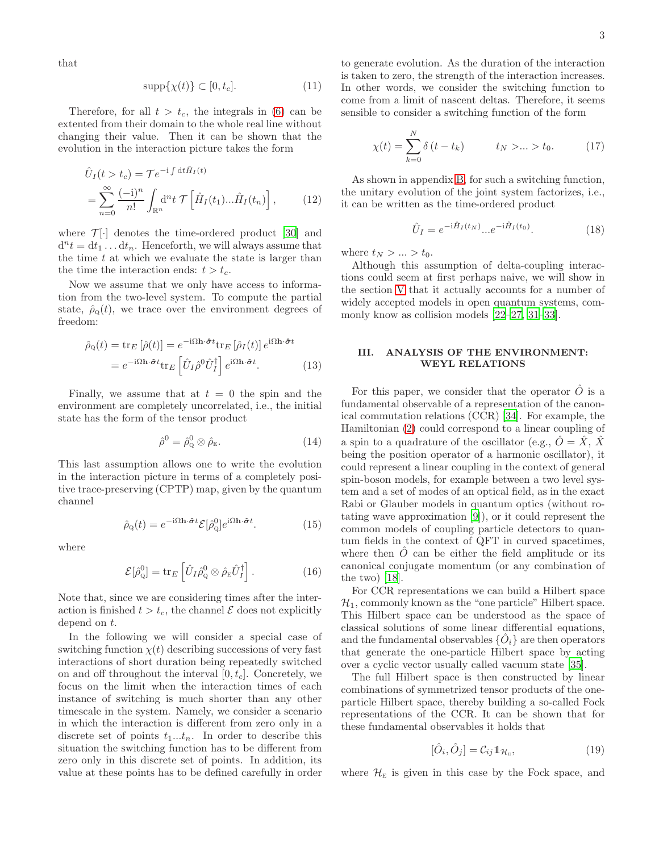that

$$
\operatorname{supp}\{\chi(t)\} \subset [0, t_c].\tag{11}
$$

Therefore, for all  $t > t_c$ , the integrals in [\(6\)](#page-1-3) can be extented from their domain to the whole real line without changing their value. Then it can be shown that the evolution in the interaction picture takes the form

$$
\hat{U}_I(t > t_c) = \mathcal{T} e^{-i \int dt \hat{H}_I(t)} \n= \sum_{n=0}^{\infty} \frac{(-i)^n}{n!} \int_{\mathbb{R}^n} d^n t \mathcal{T} \left[ \hat{H}_I(t_1) ... \hat{H}_I(t_n) \right],
$$
\n(12)

where  $\mathcal{T}[\cdot]$  denotes the time-ordered product [\[30](#page-18-21)] and  $d^n t = dt_1 \dots dt_n$ . Henceforth, we will always assume that the time  $t$  at which we evaluate the state is larger than the time the interaction ends:  $t > t_c$ .

Now we assume that we only have access to information from the two-level system. To compute the partial state,  $\hat{\rho}_0(t)$ , we trace over the environment degrees of freedom:

$$
\hat{\rho}_{Q}(t) = \text{tr}_{E} [\hat{\rho}(t)] = e^{-i\Omega \mathbf{h} \cdot \hat{\boldsymbol{\sigma}}t} \text{tr}_{E} [\hat{\rho}_{I}(t)] e^{i\Omega \mathbf{h} \cdot \hat{\boldsymbol{\sigma}}t} \n= e^{-i\Omega \mathbf{h} \cdot \hat{\boldsymbol{\sigma}}t} \text{tr}_{E} [\hat{U}_{I} \hat{\rho}^{0} \hat{U}_{I}^{\dagger}] e^{i\Omega \mathbf{h} \cdot \hat{\boldsymbol{\sigma}}t}.
$$
\n(13)

Finally, we assume that at  $t = 0$  the spin and the environment are completely uncorrelated, i.e., the initial state has the form of the tensor product

$$
\hat{\rho}^0 = \hat{\rho}_{\mathbf{Q}}^0 \otimes \hat{\rho}_{\mathbf{E}}.\tag{14}
$$

This last assumption allows one to write the evolution in the interaction picture in terms of a completely positive trace-preserving (CPTP) map, given by the quantum channel

$$
\hat{\rho}_{Q}(t) = e^{-i\Omega \mathbf{h} \cdot \hat{\boldsymbol{\sigma}}t} \mathcal{E}[\hat{\rho}_{Q}^{0}] e^{i\Omega \mathbf{h} \cdot \hat{\boldsymbol{\sigma}}t}.
$$
\n(15)

where

<span id="page-2-3"></span>
$$
\mathcal{E}[\hat{\rho}_{\mathcal{Q}}^0] = \text{tr}_E\left[\hat{U}_I \hat{\rho}_{\mathcal{Q}}^0 \otimes \hat{\rho}_{\mathcal{E}} \hat{U}_I^{\dagger}\right]. \tag{16}
$$

Note that, since we are considering times after the interaction is finished  $t > t_c$ , the channel  $\mathcal E$  does not explicitly depend on t.

In the following we will consider a special case of switching function  $\chi(t)$  describing successions of very fast interactions of short duration being repeatedly switched on and off throughout the interval  $[0, t_c]$ . Concretely, we focus on the limit when the interaction times of each instance of switching is much shorter than any other timescale in the system. Namely, we consider a scenario in which the interaction is different from zero only in a discrete set of points  $t_1...t_n$ . In order to describe this situation the switching function has to be different from zero only in this discrete set of points. In addition, its value at these points has to be defined carefully in order

to generate evolution. As the duration of the interaction is taken to zero, the strength of the interaction increases. In other words, we consider the switching function to come from a limit of nascent deltas. Therefore, it seems sensible to consider a switching function of the form

$$
\chi(t) = \sum_{k=0}^{N} \delta(t - t_k) \qquad t_N > ... > t_0.
$$
 (17)

As shown in appendix [B,](#page-16-0) for such a switching function, the unitary evolution of the joint system factorizes, i.e., it can be written as the time-ordered product

<span id="page-2-4"></span><span id="page-2-2"></span>
$$
\hat{U}_I = e^{-i\hat{H}_I(t_N)}...e^{-i\hat{H}_I(t_0)}.
$$
\n(18)

where  $t_N > ... > t_0$ .

Although this assumption of delta-coupling interactions could seem at first perhaps naive, we will show in the section [V](#page-6-0) that it actually accounts for a number of widely accepted models in open quantum systems, commonly know as collision models [\[22](#page-18-17)[–27,](#page-18-19) [31](#page-18-22)[–33\]](#page-18-23).

# <span id="page-2-0"></span>III. ANALYSIS OF THE ENVIRONMENT: WEYL RELATIONS

For this paper, we consider that the operator  $\hat{O}$  is a fundamental observable of a representation of the canonical commutation relations (CCR) [\[34\]](#page-18-24). For example, the Hamiltonian [\(2\)](#page-1-2) could correspond to a linear coupling of a spin to a quadrature of the oscillator (e.g.,  $\hat{O} = \hat{X}$ ,  $\hat{X}$ being the position operator of a harmonic oscillator), it could represent a linear coupling in the context of general spin-boson models, for example between a two level system and a set of modes of an optical field, as in the exact Rabi or Glauber models in quantum optics (without rotating wave approximation [\[9](#page-18-8)]), or it could represent the common models of coupling particle detectors to quantum fields in the context of QFT in curved spacetimes, where then  $O$  can be either the field amplitude or its canonical conjugate momentum (or any combination of the two) [\[18\]](#page-18-14).

For CCR representations we can build a Hilbert space  $\mathcal{H}_1$ , commonly known as the "one particle" Hilbert space. This Hilbert space can be understood as the space of classical solutions of some linear differential equations, and the fundamental observables  $\{\hat{O}_i\}$  are then operators that generate the one-particle Hilbert space by acting over a cyclic vector usually called vacuum state [\[35](#page-18-25)].

The full Hilbert space is then constructed by linear combinations of symmetrized tensor products of the oneparticle Hilbert space, thereby building a so-called Fock representations of the CCR. It can be shown that for these fundamental observables it holds that

<span id="page-2-1"></span>
$$
[\hat{O}_i, \hat{O}_j] = \mathcal{C}_{ij} \mathbb{1}_{\mathcal{H}_{E}},\tag{19}
$$

where  $\mathcal{H}_{E}$  is given in this case by the Fock space, and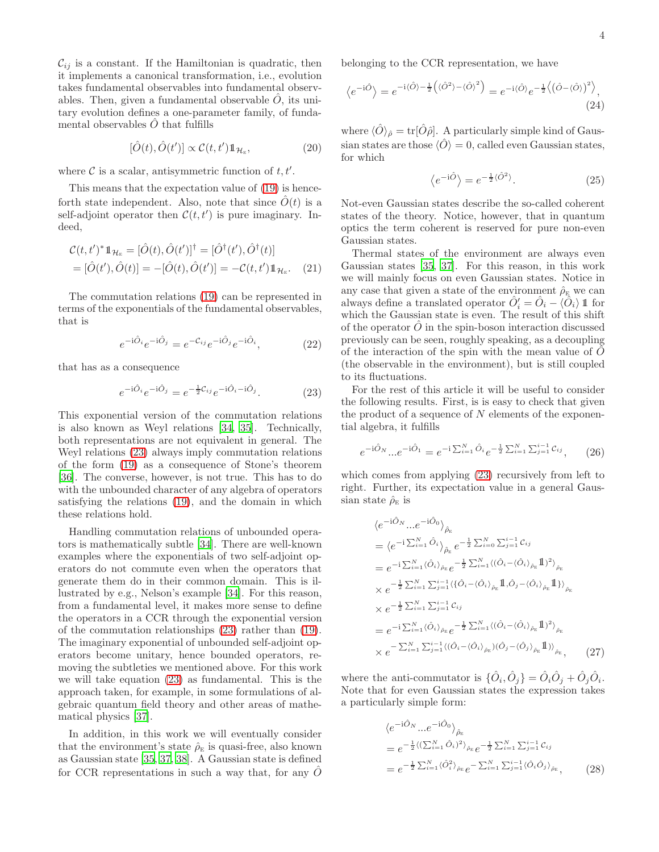$\mathcal{C}_{ij}$  is a constant. If the Hamiltonian is quadratic, then it implements a canonical transformation, i.e., evolution takes fundamental observables into fundamental observables. Then, given a fundamental observable  $\hat{O}$ , its unitary evolution defines a one-parameter family, of fundamental observables  $\ddot{O}$  that fulfills

$$
[\hat{O}(t), \hat{O}(t')] \propto \mathcal{C}(t, t') \mathbb{1}_{\mathcal{H}_{E}},
$$
\n(20)

where  $C$  is a scalar, antisymmetric function of  $t, t'$ .

This means that the expectation value of [\(19\)](#page-2-1) is henceforth state independent. Also, note that since  $\hat{O}(t)$  is a self-adjoint operator then  $\mathcal{C}(t,t')$  is pure imaginary. Indeed,

$$
\mathcal{C}(t, t')^* \mathbb{1}_{\mathcal{H}_{E}} = [\hat{O}(t), \hat{O}(t')]^{\dagger} = [\hat{O}^{\dagger}(t'), \hat{O}^{\dagger}(t)] \n= [\hat{O}(t'), \hat{O}(t)] = -[\hat{O}(t), \hat{O}(t')] = -\mathcal{C}(t, t') \mathbb{1}_{\mathcal{H}_{E}}.
$$
\n(21)

The commutation relations [\(19\)](#page-2-1) can be represented in terms of the exponentials of the fundamental observables, that is

$$
e^{-i\hat{O}_i}e^{-i\hat{O}_j} = e^{-\mathcal{C}_{ij}}e^{-i\hat{O}_j}e^{-i\hat{O}_i}, \tag{22}
$$

that has as a consequence

$$
e^{-i\hat{O}_i}e^{-i\hat{O}_j} = e^{-\frac{1}{2}\mathcal{C}_{ij}}e^{-i\hat{O}_i - i\hat{O}_j}.
$$
 (23)

This exponential version of the commutation relations is also known as Weyl relations [\[34,](#page-18-24) [35\]](#page-18-25). Technically, both representations are not equivalent in general. The Weyl relations [\(23\)](#page-3-0) always imply commutation relations of the form [\(19\)](#page-2-1) as a consequence of Stone's theorem [\[36\]](#page-18-26). The converse, however, is not true. This has to do with the unbounded character of any algebra of operators satisfying the relations [\(19\)](#page-2-1), and the domain in which these relations hold.

Handling commutation relations of unbounded operators is mathematically subtle [\[34\]](#page-18-24). There are well-known examples where the exponentials of two self-adjoint operators do not commute even when the operators that generate them do in their common domain. This is illustrated by e.g., Nelson's example [\[34\]](#page-18-24). For this reason, from a fundamental level, it makes more sense to define the operators in a CCR through the exponential version of the commutation relationships [\(23\)](#page-3-0) rather than [\(19\)](#page-2-1). The imaginary exponential of unbounded self-adjoint operators become unitary, hence bounded operators, removing the subtleties we mentioned above. For this work we will take equation [\(23\)](#page-3-0) as fundamental. This is the approach taken, for example, in some formulations of algebraic quantum field theory and other areas of mathematical physics [\[37\]](#page-18-27).

In addition, in this work we will eventually consider that the environment's state  $\hat{\rho}_E$  is quasi-free, also known as Gaussian state [\[35,](#page-18-25) [37,](#page-18-27) [38\]](#page-18-28). A Gaussian state is defined for CCR representations in such a way that, for any  $O$  belonging to the CCR representation, we have

$$
\langle e^{-i\hat{O}} \rangle = e^{-i\langle \hat{O} \rangle - \frac{1}{2} \left( \langle \hat{O}^2 \rangle - \langle \hat{O} \rangle^2 \right)} = e^{-i\langle \hat{O} \rangle} e^{-\frac{1}{2} \left( \langle \hat{O} - \langle \hat{O} \rangle \right)^2 \rangle}, \tag{24}
$$

where  $\langle \hat{O} \rangle_{\hat{\rho}} = \text{tr}[\hat{O}\hat{\rho}]$ . A particularly simple kind of Gaussian states are those  $\langle \hat{O} \rangle = 0$ , called even Gaussian states, for which

$$
\langle e^{-i\hat{O}} \rangle = e^{-\frac{1}{2}\langle \hat{O}^2 \rangle}.
$$
 (25)

Not-even Gaussian states describe the so-called coherent states of the theory. Notice, however, that in quantum optics the term coherent is reserved for pure non-even Gaussian states.

Thermal states of the environment are always even Gaussian states [\[35,](#page-18-25) [37](#page-18-27)]. For this reason, in this work we will mainly focus on even Gaussian states. Notice in any case that given a state of the environment  $\hat{\rho}_E$  we can always define a translated operator  $\hat{O}'_i = \hat{O}_i - \langle \hat{O}_i \rangle$  1 for which the Gaussian state is even. The result of this shift of the operator  $\ddot{O}$  in the spin-boson interaction discussed previously can be seen, roughly speaking, as a decoupling of the interaction of the spin with the mean value of  $\ddot{O}$ (the observable in the environment), but is still coupled to its fluctuations.

<span id="page-3-0"></span>For the rest of this article it will be useful to consider the following results. First, is is easy to check that given the product of a sequence of  $N$  elements of the exponential algebra, it fulfills

$$
e^{-i\hat{O}_N} \dots e^{-i\hat{O}_1} = e^{-i\sum_{i=1}^N \hat{O}_i} e^{-\frac{1}{2}\sum_{i=1}^N \sum_{j=1}^{i-1} C_{ij}}, \qquad (26)
$$

which comes from applying [\(23\)](#page-3-0) recursively from left to right. Further, its expectation value in a general Gaussian state  $\hat{\rho}_{\rm E}$  is

$$
\langle e^{-i\hat{O}_{N}}...e^{-i\hat{O}_{0}}\rangle_{\hat{\rho}_{E}}
$$
\n
$$
= \langle e^{-i\sum_{i=1}^{N}\hat{O}_{i}}\rangle_{\hat{\rho}_{E}} e^{-\frac{1}{2}\sum_{i=0}^{N}\sum_{j=1}^{i-1}C_{ij}}
$$
\n
$$
= e^{-i\sum_{i=1}^{N}\langle\hat{O}_{i}\rangle_{\hat{\rho}_{E}}} e^{-\frac{1}{2}\sum_{i=1}^{N}\langle(\hat{O}_{i} - \langle\hat{O}_{i}\rangle_{\hat{\rho}_{E}}\mathbb{1})^{2}\rangle_{\hat{\rho}_{E}}}
$$
\n
$$
\times e^{-\frac{1}{2}\sum_{i=1}^{N}\sum_{j=1}^{i-1}\langle\{\hat{O}_{i} - \langle\hat{O}_{i}\rangle_{\hat{\rho}_{E}}\mathbb{1},\hat{O}_{j} - \langle\hat{O}_{i}\rangle_{\hat{\rho}_{E}}\mathbb{1}\}\rangle_{\hat{\rho}_{E}}}
$$
\n
$$
\times e^{-\frac{1}{2}\sum_{i=1}^{N}\sum_{j=1}^{i-1}C_{ij}}
$$
\n
$$
= e^{-i\sum_{i=1}^{N}\langle\hat{O}_{i}\rangle_{\hat{\rho}_{E}}} e^{-\frac{1}{2}\sum_{i=1}^{N}\langle(\hat{O}_{i} - \langle\hat{O}_{i}\rangle_{\hat{\rho}_{E}}\mathbb{1})^{2}\rangle_{\hat{\rho}_{E}}}
$$
\n
$$
\times e^{-\sum_{i=1}^{N}\sum_{j=1}^{i-1}\langle(\hat{O}_{i} - \langle\hat{O}_{i}\rangle_{\hat{\rho}_{E}})(\hat{O}_{j} - \langle\hat{O}_{j}\rangle_{\hat{\rho}_{E}}\mathbb{1})\rangle_{\hat{\rho}_{E}}}, \qquad (27)
$$

where the anti-commutator is  $\{\hat{O}_i, \hat{O}_j\} = \hat{O}_i \hat{O}_j + \hat{O}_j \hat{O}_i$ . Note that for even Gaussian states the expression takes a particularly simple form:

<span id="page-3-1"></span>
$$
\langle e^{-i\hat{O}_N} \dots e^{-i\hat{O}_0} \rangle_{\hat{\rho}_E}
$$
  
=  $e^{-\frac{1}{2} \langle (\sum_{i=1}^N \hat{O}_i)^2 \rangle_{\hat{\rho}_E}} e^{-\frac{1}{2} \sum_{i=1}^N \sum_{j=1}^{i-1} C_{ij}}$   
=  $e^{-\frac{1}{2} \sum_{i=1}^N \langle \hat{O}_i^2 \rangle_{\hat{\rho}_E}} e^{-\sum_{i=1}^N \sum_{j=1}^{i-1} \langle \hat{O}_i \hat{O}_j \rangle_{\hat{\rho}_E}},$  (28)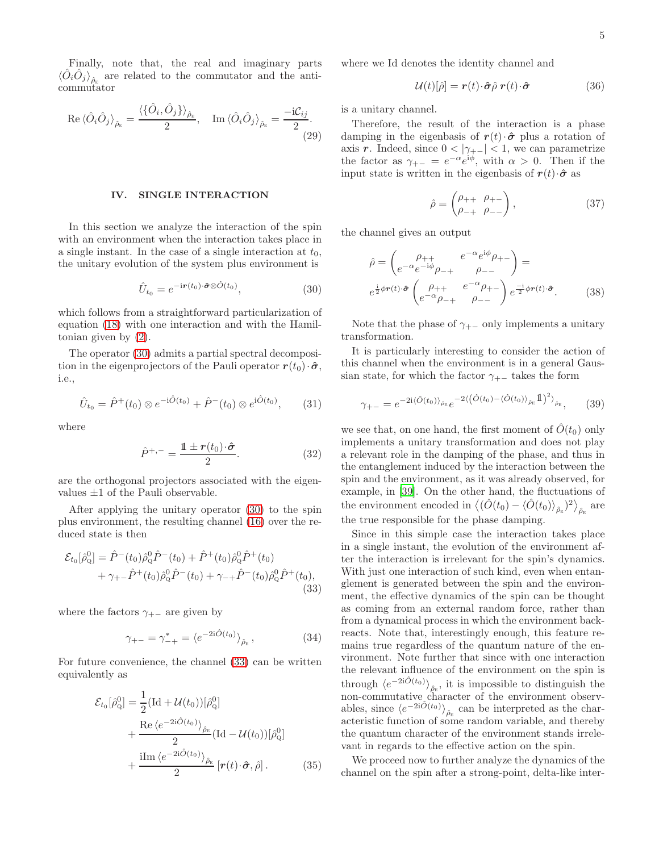Finally, note that, the real and imaginary parts  $\langle \hat{O}_i \hat{O}_j \rangle_{\hat{\rho}_{\rm E}}$  are related to the commutator and the anticommutator

$$
\operatorname{Re}\langle \hat{O}_{i} \hat{O}_{j} \rangle_{\hat{\rho}_{\rm E}} = \frac{\langle \{\hat{O}_{i}, \hat{O}_{j}\} \rangle_{\hat{\rho}_{\rm E}}}{2}, \quad \operatorname{Im}\langle \hat{O}_{i} \hat{O}_{j} \rangle_{\hat{\rho}_{\rm E}} = \frac{-\mathrm{i} \mathcal{C}_{ij}}{2}.
$$
\n(29)

### <span id="page-4-0"></span>IV. SINGLE INTERACTION

In this section we analyze the interaction of the spin with an environment when the interaction takes place in a single instant. In the case of a single interaction at  $t_0$ , the unitary evolution of the system plus environment is

$$
\hat{U}_{t_0} = e^{-i\mathbf{r}(t_0)\cdot\hat{\boldsymbol{\sigma}}\otimes\hat{O}(t_0)},\tag{30}
$$

which follows from a straightforward particularization of equation [\(18\)](#page-2-2) with one interaction and with the Hamiltonian given by [\(2\)](#page-1-2).

The operator [\(30\)](#page-4-1) admits a partial spectral decomposition in the eigenprojectors of the Pauli operator  $r(t_0)\cdot\hat{\sigma}$ , i.e.,

$$
\hat{U}_{t_0} = \hat{P}^+(t_0) \otimes e^{-i\hat{O}(t_0)} + \hat{P}^-(t_0) \otimes e^{i\hat{O}(t_0)}, \qquad (31)
$$

where

$$
\hat{P}^{+,-} = \frac{\mathbb{1} \pm r(t_0) \cdot \hat{\sigma}}{2}.
$$
\n(32)

are the orthogonal projectors associated with the eigenvalues  $\pm 1$  of the Pauli observable.

After applying the unitary operator [\(30\)](#page-4-1) to the spin plus environment, the resulting channel [\(16\)](#page-2-3) over the reduced state is then

$$
\mathcal{E}_{t_0}[\hat{\rho}_Q^0] = \hat{P}^-(t_0)\hat{\rho}_Q^0\hat{P}^-(t_0) + \hat{P}^+(t_0)\hat{\rho}_Q^0\hat{P}^+(t_0) + \gamma_{+-}\hat{P}^+(t_0)\hat{\rho}_Q^0\hat{P}^-(t_0) + \gamma_{-+}\hat{P}^-(t_0)\hat{\rho}_Q^0\hat{P}^+(t_0),
$$
\n(33)

where the factors  $\gamma_{+-}$  are given by

$$
\gamma_{+-} = \gamma_{-+}^* = \langle e^{-2i\hat{O}(t_0)} \rangle_{\hat{\rho}_E}, \qquad (34)
$$

For future convenience, the channel [\(33\)](#page-4-2) can be written equivalently as

$$
\mathcal{E}_{t_0}[\hat{\rho}_Q^0] = \frac{1}{2} (\text{Id} + \mathcal{U}(t_0))[\hat{\rho}_Q^0] + \frac{\text{Re}\,\langle e^{-2i\hat{O}(t_0)}\rangle_{\hat{\rho}_E}}{2} (\text{Id} - \mathcal{U}(t_0))[\hat{\rho}_Q^0] + \frac{\text{i}\text{Im}\,\langle e^{-2i\hat{O}(t_0)}\rangle_{\hat{\rho}_E}}{2} [\boldsymbol{r}(t) \cdot \hat{\boldsymbol{\sigma}}, \hat{\rho}].
$$
 (35)

where we Id denotes the identity channel and

$$
\mathcal{U}(t)[\hat{\rho}] = \mathbf{r}(t) \cdot \hat{\boldsymbol{\sigma}} \hat{\rho} \ \mathbf{r}(t) \cdot \hat{\boldsymbol{\sigma}} \tag{36}
$$

is a unitary channel.

Therefore, the result of the interaction is a phase damping in the eigenbasis of  $r(t) \cdot \hat{\sigma}$  plus a rotation of axis r. Indeed, since  $0 < |\gamma_{+-}| < 1$ , we can parametrize the factor as  $\gamma_{+-} = e^{-\alpha} e^{i\phi}$ , with  $\alpha > 0$ . Then if the input state is written in the eigenbasis of  $r(t) \cdot \hat{\sigma}$  as

$$
\hat{\rho} = \begin{pmatrix} \rho_{++} & \rho_{+-} \\ \rho_{-+} & \rho_{--} \end{pmatrix},\tag{37}
$$

the channel gives an output

$$
\hat{\rho} = \begin{pmatrix} \rho_{++} & e^{-\alpha} e^{i\phi} \rho_{+-} \\ e^{-\alpha} e^{-i\phi} \rho_{-+} & \rho_{--} \end{pmatrix} =
$$
\n
$$
e^{\frac{i}{2}\phi r(t) \cdot \hat{\sigma}} \begin{pmatrix} \rho_{++} & e^{-\alpha} \rho_{+-} \\ e^{-\alpha} \rho_{-+} & \rho_{--} \end{pmatrix} e^{\frac{-i}{2}\phi r(t) \cdot \hat{\sigma}}.
$$
\n(38)

<span id="page-4-1"></span>Note that the phase of  $\gamma_{+-}$  only implements a unitary transformation.

It is particularly interesting to consider the action of this channel when the environment is in a general Gaussian state, for which the factor  $\gamma_{+-}$  takes the form

$$
\gamma_{+-} = e^{-2i\langle \hat{O}(t_0) \rangle_{\hat{\rho}_E}} e^{-2\langle (\hat{O}(t_0) - \langle \hat{O}(t_0) \rangle_{\hat{\rho}_E} \mathbb{1})^2 \rangle_{\hat{\rho}_E}}, \qquad (39)
$$

we see that, on one hand, the first moment of  $\hat{O}(t_0)$  only implements a unitary transformation and does not play a relevant role in the damping of the phase, and thus in the entanglement induced by the interaction between the spin and the environment, as it was already observed, for example, in [\[39\]](#page-18-29). On the other hand, the fluctuations of the environment encoded in  $\langle (\hat{O}(t_0) - \langle \hat{O}(t_0) \rangle_{\hat{\rho}_E})^2 \rangle_{\hat{\rho}_E}$  are the true responsible for the phase damping.

<span id="page-4-2"></span>Since in this simple case the interaction takes place in a single instant, the evolution of the environment after the interaction is irrelevant for the spin's dynamics. With just one interaction of such kind, even when entanglement is generated between the spin and the environment, the effective dynamics of the spin can be thought as coming from an external random force, rather than from a dynamical process in which the environment backreacts. Note that, interestingly enough, this feature remains true regardless of the quantum nature of the environment. Note further that since with one interaction the relevant influence of the environment on the spin is through  $\langle e^{-2i\hat{O}(t_0)} \rangle_{\hat{\rho}_E}$ , it is impossible to distinguish the non-commutative character of the environment observables, since  $\langle e^{-2i\hat{O}(t_0)} \rangle_{\hat{\rho}_E}$  can be interpreted as the characteristic function of some random variable, and thereby the quantum character of the environment stands irrelevant in regards to the effective action on the spin.

We proceed now to further analyze the dynamics of the channel on the spin after a strong-point, delta-like inter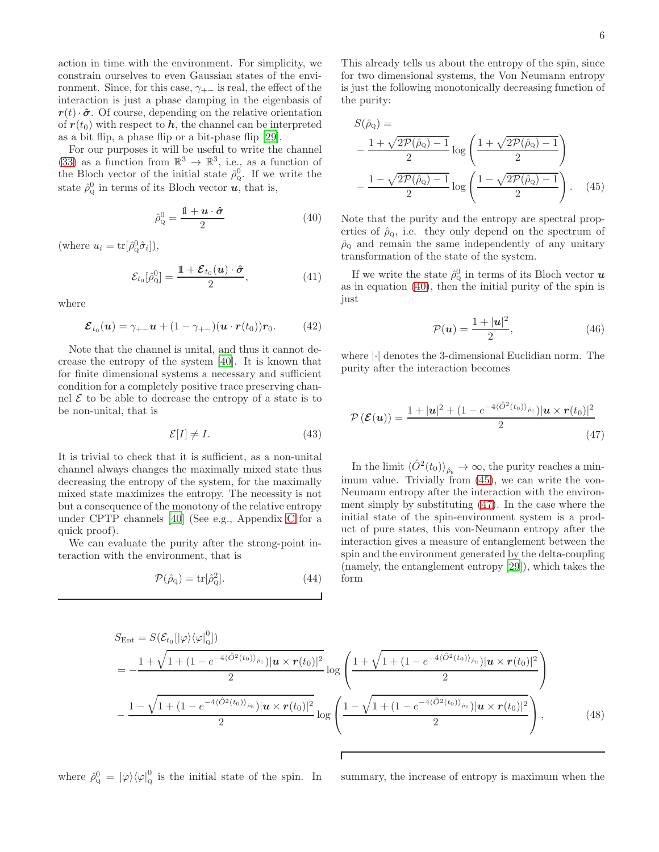action in time with the environment. For simplicity, we constrain ourselves to even Gaussian states of the environment. Since, for this case,  $\gamma_{+-}$  is real, the effect of the interaction is just a phase damping in the eigenbasis of  $r(t) \cdot \hat{\sigma}$ . Of course, depending on the relative orientation of  $r(t_0)$  with respect to h, the channel can be interpreted as a bit flip, a phase flip or a bit-phase flip [\[29\]](#page-18-20).

For our purposes it will be useful to write the channel [\(33\)](#page-4-2) as a function from  $\mathbb{R}^3 \to \mathbb{R}^3$ , i.e., as a function of the Bloch vector of the initial state  $\hat{\rho}_{Q}^{0}$ . If we write the state  $\hat{\rho}_{\mathbf{Q}}^0$  in terms of its Bloch vector  $\boldsymbol{u}$ , that is,

$$
\hat{\rho}_{\mathbf{Q}}^0 = \frac{\mathbb{1} + \boldsymbol{u} \cdot \hat{\boldsymbol{\sigma}}}{2} \tag{40}
$$

(where  $u_i = \text{tr}[\hat{\rho}_Q^0 \hat{\sigma}_i]),$ 

$$
\mathcal{E}_{t_0}[\hat{\rho}_Q^0] = \frac{\mathbb{1} + \mathcal{E}_{t_0}(\boldsymbol{u}) \cdot \hat{\boldsymbol{\sigma}}}{2},\tag{41}
$$

where

$$
\mathcal{E}_{t_0}(\boldsymbol{u}) = \gamma_{+-}\boldsymbol{u} + (1 - \gamma_{+-})(\boldsymbol{u} \cdot \boldsymbol{r}(t_0))\boldsymbol{r}_0. \qquad (42)
$$

Note that the channel is unital, and thus it cannot decrease the entropy of the system [\[40\]](#page-18-30). It is known that for finite dimensional systems a necessary and sufficient condition for a completely positive trace preserving channel  $\mathcal E$  to be able to decrease the entropy of a state is to be non-unital, that is

$$
\mathcal{E}[I] \neq I. \tag{43}
$$

It is trivial to check that it is sufficient, as a non-unital channel always changes the maximally mixed state thus decreasing the entropy of the system, for the maximally mixed state maximizes the entropy. The necessity is not but a consequence of the monotony of the relative entropy under CPTP channels [\[40\]](#page-18-30) (See e.g., Appendix [C](#page-17-0) for a quick proof).

We can evaluate the purity after the strong-point interaction with the environment, that is

$$
\mathcal{P}(\hat{\rho}_{Q}) = \text{tr}[\hat{\rho}_{Q}^{2}]. \tag{44}
$$

This already tells us about the entropy of the spin, since for two dimensional systems, the Von Neumann entropy is just the following monotonically decreasing function of the purity:

$$
S(\hat{\rho}_{Q}) = -\frac{1 + \sqrt{2\mathcal{P}(\hat{\rho}_{Q}) - 1}}{2} \log \left( \frac{1 + \sqrt{2\mathcal{P}(\hat{\rho}_{Q}) - 1}}{2} \right)
$$

$$
-\frac{1 - \sqrt{2\mathcal{P}(\hat{\rho}_{Q}) - 1}}{2} \log \left( \frac{1 - \sqrt{2\mathcal{P}(\hat{\rho}_{Q}) - 1}}{2} \right). \quad (45)
$$

<span id="page-5-0"></span>Note that the purity and the entropy are spectral properties of  $\rho_0$ , i.e. they only depend on the spectrum of  $\hat{\rho}_Q$  and remain the same independently of any unitary transformation of the state of the system.

If we write the state  $\hat{\rho}_{\text{Q}}^0$  in terms of its Bloch vector  $\boldsymbol{u}$ as in equation [\(40\)](#page-5-0), then the initial purity of the spin is just

<span id="page-5-2"></span><span id="page-5-1"></span>
$$
\mathcal{P}(\boldsymbol{u}) = \frac{1+|\boldsymbol{u}|^2}{2},\tag{46}
$$

where |·| denotes the 3-dimensional Euclidian norm. The purity after the interaction becomes

$$
\mathcal{P}\left(\mathcal{E}(u)\right) = \frac{1+|u|^2 + (1 - e^{-4\langle \hat{O}^2(t_0) \rangle_{\hat{\rho}_E}})|u \times r(t_0)|^2}{2} \tag{47}
$$

In the limit  $\langle \hat{O}^2(t_0) \rangle_{\hat{\rho}_{\rm E}} \to \infty$ , the purity reaches a minimum value. Trivially from  $(45)$ , we can write the von-Neumann entropy after the interaction with the environment simply by substituting [\(47\)](#page-5-2). In the case where the initial state of the spin-environment system is a product of pure states, this von-Neumann entropy after the interaction gives a measure of entanglement between the spin and the environment generated by the delta-coupling (namely, the entanglement entropy [\[29\]](#page-18-20)), which takes the form

$$
S_{\text{Ent}} = S(\mathcal{E}_{t_0}[\ket{\varphi}\bra{\varphi|_Q}^0])
$$
  
=  $-\frac{1 + \sqrt{1 + (1 - e^{-4\langle \hat{O}^2(t_0) \rangle_{\hat{\rho}_E}})}| \mathbf{u} \times \mathbf{r}(t_0)|^2}}{2} \log \left( \frac{1 + \sqrt{1 + (1 - e^{-4\langle \hat{O}^2(t_0) \rangle_{\hat{\rho}_E}})}| \mathbf{u} \times \mathbf{r}(t_0)|^2}}{2} \right)$   

$$
-\frac{1 - \sqrt{1 + (1 - e^{-4\langle \hat{O}^2(t_0) \rangle_{\hat{\rho}_E}})}| \mathbf{u} \times \mathbf{r}(t_0)|^2}{2} \log \left( \frac{1 - \sqrt{1 + (1 - e^{-4\langle \hat{O}^2(t_0) \rangle_{\hat{\rho}_E}})}| \mathbf{u} \times \mathbf{r}(t_0)|^2}}{2} \right),
$$
(48)

where  $\hat{\rho}_{\mathbf{Q}}^0 = |\varphi\rangle\langle\varphi|_{\mathbf{Q}}^0$ 

summary, the increase of entropy is maximum when the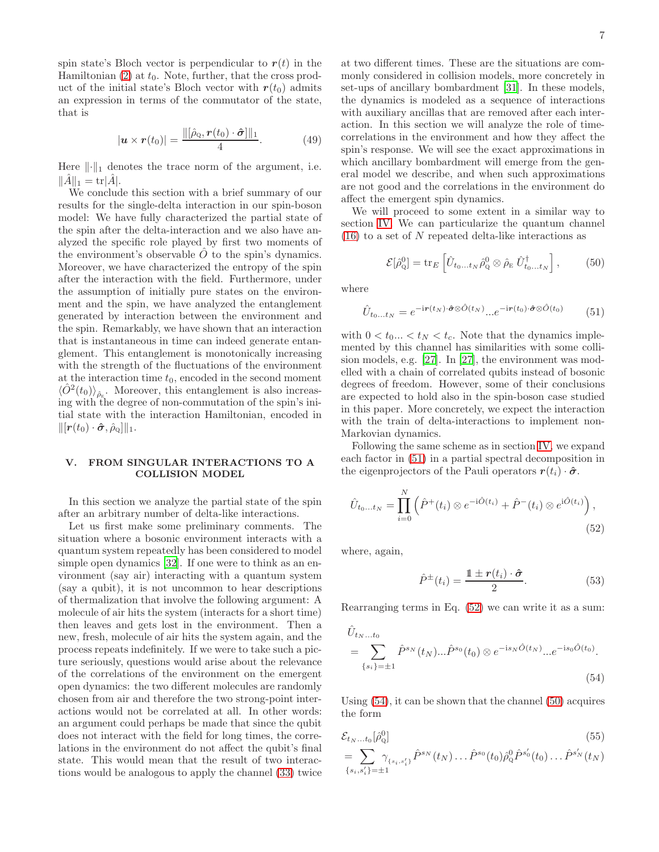spin state's Bloch vector is perpendicular to  $r(t)$  in the Hamiltonian  $(2)$  at  $t_0$ . Note, further, that the cross product of the initial state's Bloch vector with  $r(t_0)$  admits an expression in terms of the commutator of the state, that is

$$
|\boldsymbol{u} \times \boldsymbol{r}(t_0)| = \frac{\|[\hat{\rho}_Q, \boldsymbol{r}(t_0) \cdot \hat{\boldsymbol{\sigma}}] \|_1}{4}.
$$
 (49)

Here  $\lVert \cdot \rVert_1$  denotes the trace norm of the argument, i.e.  $\|\hat{A}\|_1 = \text{tr}|\hat{A}|.$ 

We conclude this section with a brief summary of our results for the single-delta interaction in our spin-boson model: We have fully characterized the partial state of the spin after the delta-interaction and we also have analyzed the specific role played by first two moments of the environment's observable  $O$  to the spin's dynamics. Moreover, we have characterized the entropy of the spin after the interaction with the field. Furthermore, under the assumption of initially pure states on the environment and the spin, we have analyzed the entanglement generated by interaction between the environment and the spin. Remarkably, we have shown that an interaction that is instantaneous in time can indeed generate entanglement. This entanglement is monotonically increasing with the strength of the fluctuations of the environment at the interaction time  $t_0$ , encoded in the second moment  $\langle \hat{O}^2(t_0) \rangle_{\hat{\rho}_{\rm E}}$ . Moreover, this entanglement is also increasing with the degree of non-commutation of the spin's initial state with the interaction Hamiltonian, encoded in  $\|\mathbf{r}(t_0)\cdot \hat{\boldsymbol{\sigma}}, \hat{\rho}_{\text{o}}\|\|_1.$ 

# <span id="page-6-0"></span>V. FROM SINGULAR INTERACTIONS TO A COLLISION MODEL

In this section we analyze the partial state of the spin after an arbitrary number of delta-like interactions.

Let us first make some preliminary comments. The situation where a bosonic environment interacts with a quantum system repeatedly has been considered to model simple open dynamics [\[32](#page-18-31)]. If one were to think as an environment (say air) interacting with a quantum system (say a qubit), it is not uncommon to hear descriptions of thermalization that involve the following argument: A molecule of air hits the system (interacts for a short time) then leaves and gets lost in the environment. Then a new, fresh, molecule of air hits the system again, and the process repeats indefinitely. If we were to take such a picture seriously, questions would arise about the relevance of the correlations of the environment on the emergent open dynamics: the two different molecules are randomly chosen from air and therefore the two strong-point interactions would not be correlated at all. In other words: an argument could perhaps be made that since the qubit does not interact with the field for long times, the correlations in the environment do not affect the qubit's final state. This would mean that the result of two interactions would be analogous to apply the channel [\(33\)](#page-4-2) twice

at two different times. These are the situations are commonly considered in collision models, more concretely in set-ups of ancillary bombardment [\[31](#page-18-22)]. In these models, the dynamics is modeled as a sequence of interactions with auxiliary ancillas that are removed after each interaction. In this section we will analyze the role of timecorrelations in the environment and how they affect the spin's response. We will see the exact approximations in which ancillary bombardment will emerge from the general model we describe, and when such approximations are not good and the correlations in the environment do affect the emergent spin dynamics.

We will proceed to some extent in a similar way to section [IV.](#page-4-0) We can particularize the quantum channel  $(16)$  to a set of N repeated delta-like interactions as

<span id="page-6-4"></span><span id="page-6-1"></span>
$$
\mathcal{E}[\hat{\rho}_{\mathbf{Q}}^0] = \text{tr}_E\left[\hat{U}_{t_0...t_N}\hat{\rho}_{\mathbf{Q}}^0\otimes\hat{\rho}_{\mathbf{E}}\,\hat{U}_{t_0...t_N}^\dagger\right],\tag{50}
$$

where

$$
\hat{U}_{t_0...t_N} = e^{-i\mathbf{r}(t_N)\cdot\hat{\boldsymbol{\sigma}}\otimes\hat{O}(t_N)}...e^{-i\mathbf{r}(t_0)\cdot\hat{\boldsymbol{\sigma}}\otimes\hat{O}(t_0)}\tag{51}
$$

with  $0 < t_0... < t_N < t_c$ . Note that the dynamics implemented by this channel has similarities with some collision models, e.g. [\[27\]](#page-18-19). In [\[27](#page-18-19)], the environment was modelled with a chain of correlated qubits instead of bosonic degrees of freedom. However, some of their conclusions are expected to hold also in the spin-boson case studied in this paper. More concretely, we expect the interaction with the train of delta-interactions to implement non-Markovian dynamics.

Following the same scheme as in section [IV,](#page-4-0) we expand each factor in [\(51\)](#page-6-1) in a partial spectral decomposition in the eigenprojectors of the Pauli operators  $r(t_i) \cdot \hat{\sigma}$ .

$$
\hat{U}_{t_0...t_N} = \prod_{i=0}^{N} \left( \hat{P}^+(t_i) \otimes e^{-i\hat{O}(t_i)} + \hat{P}^-(t_i) \otimes e^{i\hat{O}(t_i)} \right),\tag{52}
$$

where, again,

<span id="page-6-5"></span><span id="page-6-3"></span><span id="page-6-2"></span>
$$
\hat{P}^{\pm}(t_i) = \frac{\mathbb{1} \pm r(t_i) \cdot \hat{\sigma}}{2}.
$$
\n(53)

Rearranging terms in Eq. [\(52\)](#page-6-2) we can write it as a sum:

$$
\hat{U}_{t_N...t_0}
$$
\n
$$
= \sum_{\{s_i\}=\pm 1} \hat{P}^{s_N}(t_N)...\hat{P}^{s_0}(t_0) \otimes e^{-is_N \hat{O}(t_N)}...e^{-is_0 \hat{O}(t_0)}.
$$
\n(54)

Using [\(54\)](#page-6-3), it can be shown that the channel [\(50\)](#page-6-4) acquires the form

$$
\mathcal{E}_{t_N...t_0}[\hat{\rho}_Q^0]
$$
\n
$$
= \sum_{\{s_i,s'_i\}=\pm 1} \gamma_{\{s_i,s'_i\}} \hat{P}^{s_N}(t_N) \dots \hat{P}^{s_0}(t_0) \hat{\rho}_Q^0 \hat{P}^{s'_0}(t_0) \dots \hat{P}^{s'_N}(t_N)
$$
\n
$$
(55)
$$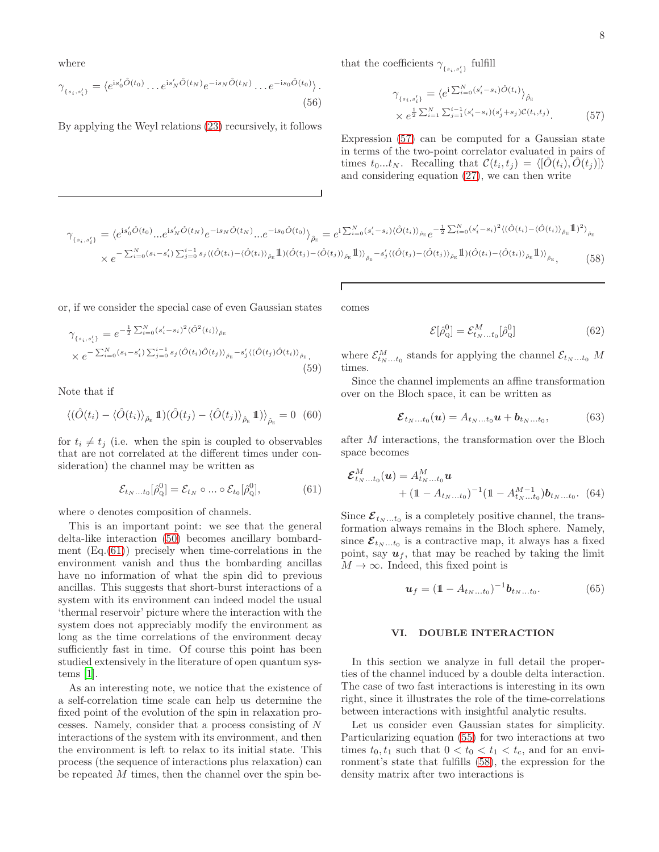where

$$
\gamma_{\{s_i, s'_i\}} = \langle e^{\mathrm{i}s'_0 \hat{O}(t_0)} \dots e^{\mathrm{i}s'_N \hat{O}(t_N)} e^{-\mathrm{i}s_N \hat{O}(t_N)} \dots e^{-\mathrm{i}s_0 \hat{O}(t_0)} \rangle.
$$
\n(56)

By applying the Weyl relations [\(23\)](#page-3-0) recursively, it follows

that the coefficients  $\gamma_{\{s_i,s'_i\}}$  fulfill

<span id="page-7-1"></span>
$$
\gamma_{\{s_i, s'_i\}} = \langle e^{i \sum_{i=0}^{N} (s'_i - s_i) \hat{O}(t_i)} \rangle_{\hat{\rho}_E}
$$
  
 
$$
\times e^{\frac{1}{2} \sum_{i=1}^{N} \sum_{j=1}^{i-1} (s'_i - s_i) (s'_j + s_j) \mathcal{C}(t_i, t_j)}.
$$
 (57)

Expression [\(57\)](#page-7-1) can be computed for a Gaussian state in terms of the two-point correlator evaluated in pairs of times  $t_0...t_N$ . Recalling that  $\mathcal{C}(t_i, t_j) = \langle [\hat{O}(t_i), \hat{O}(t_j)] \rangle$ and considering equation [\(27\)](#page-3-1), we can then write

$$
\gamma_{\{s_i, s'_i\}} = \langle e^{is'_0 \hat{O}(t_0)} \dots e^{is'_N \hat{O}(t_N)} e^{-is_N \hat{O}(t_N)} \dots e^{-is_0 \hat{O}(t_0)} \rangle_{\hat{\rho}_E} = e^{i \sum_{i=0}^N (s'_i - s_i) \langle \hat{O}(t_i) \rangle_{\hat{\rho}_E}} e^{-\frac{1}{2} \sum_{i=0}^N (s'_i - s_i)^2 \langle (\hat{O}(t_i) - \langle \hat{O}(t_i) \rangle_{\hat{\rho}_E} \mathbb{1})^2 \rangle_{\hat{\rho}_E}}
$$
  
 
$$
\times e^{-\sum_{i=0}^N (s_i - s'_i) \sum_{j=0}^{i-1} s_j \langle (\hat{O}(t_i) - \langle \hat{O}(t_i) \rangle_{\hat{\rho}_E} \mathbb{1}) (\hat{O}(t_j) - \langle \hat{O}(t_j) \rangle_{\hat{\rho}_E} \mathbb{1}) \rangle_{\hat{\rho}_E} - s'_j \langle (\hat{O}(t_j) - \langle \hat{O}(t_j) \rangle_{\hat{\rho}_E} \mathbb{1}) (\hat{O}(t_i) - \langle \hat{O}(t_i) \rangle_{\hat{\rho}_E} \mathbb{1}) \rangle_{\hat{\rho}_E}}, \tag{58}
$$

or, if we consider the special case of even Gaussian states

$$
\gamma_{\{s_i, s'_i\}} = e^{-\frac{1}{2} \sum_{i=0}^{N} (s'_i - s_i)^2 \langle \hat{O}^2(t_i) \rangle_{\hat{\rho}_E}}
$$
\n
$$
\times e^{-\sum_{i=0}^{N} (s_i - s'_i) \sum_{j=0}^{i-1} s_j \langle \hat{O}(t_i) \hat{O}(t_j) \rangle_{\hat{\rho}_E} - s'_j \langle (\hat{O}(t_j) \hat{O}(t_i)) \rangle_{\hat{\rho}_E}}.
$$
\n(59)

Note that if

$$
\langle (\hat{O}(t_i) - \langle \hat{O}(t_i) \rangle_{\hat{\rho}_E} \mathbb{1}) (\hat{O}(t_j) - \langle \hat{O}(t_j) \rangle_{\hat{\rho}_E} \mathbb{1}) \rangle_{\hat{\rho}_E} = 0 \quad (60)
$$

for  $t_i \neq t_j$  (i.e. when the spin is coupled to observables that are not correlated at the different times under consideration) the channel may be written as

$$
\mathcal{E}_{t_N...t_0}[\hat{\rho}_Q^0] = \mathcal{E}_{t_N} \circ ... \circ \mathcal{E}_{t_0}[\hat{\rho}_Q^0],\tag{61}
$$

where ∘ denotes composition of channels.

This is an important point: we see that the general delta-like interaction [\(50\)](#page-6-4) becomes ancillary bombardment  $(Eq.(61))$  $(Eq.(61))$  $(Eq.(61))$  precisely when time-correlations in the environment vanish and thus the bombarding ancillas have no information of what the spin did to previous ancillas. This suggests that short-burst interactions of a system with its environment can indeed model the usual 'thermal reservoir' picture where the interaction with the system does not appreciably modify the environment as long as the time correlations of the environment decay sufficiently fast in time. Of course this point has been studied extensively in the literature of open quantum systems [\[1\]](#page-18-0).

As an interesting note, we notice that the existence of a self-correlation time scale can help us determine the fixed point of the evolution of the spin in relaxation processes. Namely, consider that a process consisting of N interactions of the system with its environment, and then the environment is left to relax to its initial state. This process (the sequence of interactions plus relaxation) can be repeated M times, then the channel over the spin becomes

<span id="page-7-3"></span>
$$
\mathcal{E}[\hat{\rho}_{\mathbf{Q}}^0] = \mathcal{E}_{t_N...t_0}^M[\hat{\rho}_{\mathbf{Q}}^0] \tag{62}
$$

<span id="page-7-4"></span>where  $\mathcal{E}_{t_N...t_0}^M$  stands for applying the channel  $\mathcal{E}_{t_N...t_0}$  M times.

Since the channel implements an affine transformation over on the Bloch space, it can be written as

$$
\boldsymbol{\mathcal{E}}_{t_N...t_0}(\boldsymbol{u}) = A_{t_N...t_0}\boldsymbol{u} + \boldsymbol{b}_{t_N...t_0},\tag{63}
$$

after M interactions, the transformation over the Bloch space becomes

<span id="page-7-2"></span>
$$
\mathcal{E}_{t_N...t_0}^M(\boldsymbol{u}) = A_{t_N...t_0}^M \boldsymbol{u}
$$
  
+  $(1 - A_{t_N...t_0})^{-1} (1 - A_{t_N...t_0}^{M-1}) \boldsymbol{b}_{t_N...t_0}$ . (64)

Since  $\mathcal{E}_{t_N...t_0}$  is a completely positive channel, the transformation always remains in the Bloch sphere. Namely, since  $\mathcal{E}_{t_N...t_0}$  is a contractive map, it always has a fixed point, say  $u_f$ , that may be reached by taking the limit  $M \to \infty$ . Indeed, this fixed point is

$$
\mathbf{u}_f = (\mathbb{1} - A_{t_N...t_0})^{-1} \mathbf{b}_{t_N...t_0}.
$$
 (65)

# <span id="page-7-0"></span>VI. DOUBLE INTERACTION

In this section we analyze in full detail the properties of the channel induced by a double delta interaction. The case of two fast interactions is interesting in its own right, since it illustrates the role of the time-correlations between interactions with insightful analytic results.

Let us consider even Gaussian states for simplicity. Particularizing equation [\(55\)](#page-6-5) for two interactions at two times  $t_0, t_1$  such that  $0 < t_0 < t_1 < t_c$ , and for an environment's state that fulfills [\(58\)](#page-7-3), the expression for the density matrix after two interactions is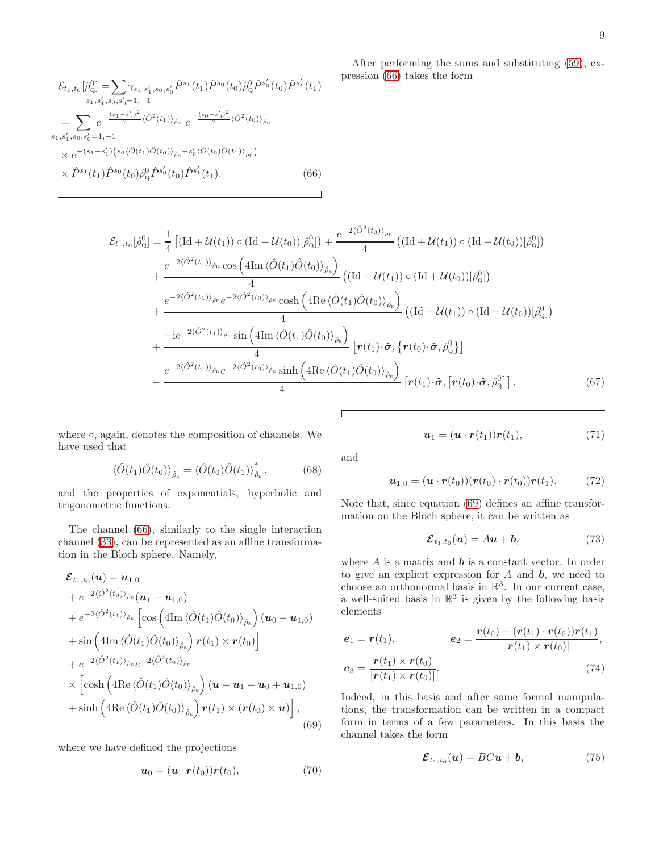$$
\mathcal{E}_{t_1,t_0}[\hat{\rho}_Q^0] = \sum_{s_1,s_1',s_0,s_0'} \gamma_{s_1,s_1',s_0,s_0'} \hat{P}^{s_1}(t_1) \hat{P}^{s_0}(t_0) \hat{\rho}_Q^0 \hat{P}^{s_0'}(t_0) \hat{P}^{s_1'}(t_1)
$$
\n
$$
= \sum_{s_1,s_1',s_0,s_0'=1,-1} e^{-\frac{(s_1-s_1')^2}{2} \langle \hat{O}^2(t_1) \rangle_{\hat{\rho}_E}} e^{-\frac{(s_0-s_0')^2}{2} \langle \hat{O}^2(t_0) \rangle_{\hat{\rho}_E}}
$$
\n
$$
\times e^{-(s_1-s_1')\left(s_0 \langle \hat{O}(t_1) \hat{O}(t_0) \rangle_{\hat{\rho}_E} - s_0' \langle \hat{O}(t_0) \hat{O}(t_1) \rangle_{\hat{\rho}_E}\right)}
$$
\n
$$
\times \hat{P}^{s_1}(t_1) \hat{P}^{s_0}(t_0) \hat{\rho}_Q^0 \hat{P}^{s_0'}(t_0) \hat{P}^{s_1'}(t_1).
$$
\n(66)

<span id="page-8-0"></span>After performing the sums and substituting [\(59\)](#page-7-4), expression [\(66\)](#page-8-0) takes the form

$$
\mathcal{E}_{t_1,t_0}[\hat{\rho}_{Q}^{0}] = \frac{1}{4} \left[ (\text{Id} + \mathcal{U}(t_1)) \circ (\text{Id} + \mathcal{U}(t_0))[\hat{\rho}_{Q}^{0}] \right) + \frac{e^{-2\langle \hat{O}^{2}(t_0) \rangle_{\hat{\rho}_{E}}}}{4} \left( (\text{Id} + \mathcal{U}(t_1)) \circ (\text{Id} - \mathcal{U}(t_0))[\hat{\rho}_{Q}^{0}] \right) \n+ \frac{e^{-2\langle \hat{O}^{2}(t_1) \rangle_{\hat{\rho}_{E}} \cos \left( 4\text{Im} \langle \hat{O}(t_1) \hat{O}(t_0) \rangle_{\hat{\rho}_{E}} \right)}{4} \left( (\text{Id} - \mathcal{U}(t_1)) \circ (\text{Id} + \mathcal{U}(t_0))[\hat{\rho}_{Q}^{0}] \right) \n+ \frac{e^{-2\langle \hat{O}^{2}(t_1) \rangle_{\hat{\rho}_{E}} e^{-2\langle \hat{O}^{2}(t_0) \rangle_{\hat{\rho}_{E}} \cosh \left( 4\text{Re} \langle \hat{O}(t_1) \hat{O}(t_0) \rangle_{\hat{\rho}_{E}} \right)}{4} \left( (\text{Id} - \mathcal{U}(t_1)) \circ (\text{Id} - \mathcal{U}(t_0))[\hat{\rho}_{Q}^{0}] \right) \n+ \frac{-ie^{-2\langle \hat{O}^{2}(t_1) \rangle_{\hat{\rho}_{E}} \sin \left( 4\text{Im} \langle \hat{O}(t_1) \hat{O}(t_0) \rangle_{\hat{\rho}_{E}} \right)}{4} \left[ r(t_1) \cdot \hat{\sigma}, \{ r(t_0) \cdot \hat{\sigma}, \hat{\rho}_{Q}^{0} \} \right] \n- \frac{e^{-2\langle \hat{O}^{2}(t_1) \rangle_{\hat{\rho}_{E}} e^{-2\langle \hat{O}^{2}(t_0) \rangle_{\hat{\rho}_{E}} \sinh \left( 4\text{Re} \langle \hat{O}(t_1) \hat{O}(t_0) \rangle_{\hat{\rho}_{E}} \right)}{4} \left[ r(t_1) \cdot \hat{\sigma}, \{ r(t_0) \cdot \hat{\sigma}, \hat{\rho}_{Q}^{0} \} \right], \tag{67}
$$

where ○, again, denotes the composition of channels. We have used that

$$
\langle \hat{O}(t_1)\hat{O}(t_0)\rangle_{\hat{\rho}_E} = \langle \hat{O}(t_0)\hat{O}(t_1)\rangle_{\hat{\rho}_E}^*,\tag{68}
$$

and the properties of exponentials, hyperbolic and trigonometric functions.

The channel [\(66\)](#page-8-0), similarly to the single interaction channel [\(33\)](#page-4-2), can be represented as an affine transformation in the Bloch sphere. Namely,

$$
\mathcal{E}_{t_1,t_0}(\boldsymbol{u}) = \boldsymbol{u}_{1,0} \n+ e^{-2\langle \hat{O}^2(t_0) \rangle_{\hat{\rho}_E}} (\boldsymbol{u}_1 - \boldsymbol{u}_{1,0}) \n+ e^{-2\langle \hat{O}^2(t_1) \rangle_{\hat{\rho}_E}} \left[ \cos \left( 4\mathrm{Im} \langle \hat{O}(t_1) \hat{O}(t_0) \rangle_{\hat{\rho}_E} \right) (\boldsymbol{u}_0 - \boldsymbol{u}_{1,0}) \n+ \sin \left( 4\mathrm{Im} \langle \hat{O}(t_1) \hat{O}(t_0) \rangle_{\hat{\rho}_E} \right) \boldsymbol{r}(t_1) \times \boldsymbol{r}(t_0) \right] \n+ e^{-2\langle \hat{O}^2(t_1) \rangle_{\hat{\rho}_E}} e^{-2\langle \hat{O}^2(t_0) \rangle_{\hat{\rho}_E}} \n\times \left[ \cosh \left( 4\mathrm{Re} \langle \hat{O}(t_1) \hat{O}(t_0) \rangle_{\hat{\rho}_E} \right) (\boldsymbol{u} - \boldsymbol{u}_1 - \boldsymbol{u}_0 + \boldsymbol{u}_{1,0}) \n+ \sinh \left( 4\mathrm{Re} \langle \hat{O}(t_1) \hat{O}(t_0) \rangle_{\hat{\rho}_E} \right) \boldsymbol{r}(t_1) \times (\boldsymbol{r}(t_0) \times \boldsymbol{u}) \right],
$$
\n(69)

where we have defined the projections

$$
\boldsymbol{u}_0 = (\boldsymbol{u} \cdot \boldsymbol{r}(t_0)) \boldsymbol{r}(t_0), \tag{70}
$$

<span id="page-8-2"></span> $u_1 = (u \cdot r(t_1))r(t_1),$  (71)

and

Г

$$
\boldsymbol{u}_{1,0} = (\boldsymbol{u} \cdot \boldsymbol{r}(t_0)) (\boldsymbol{r}(t_0) \cdot \boldsymbol{r}(t_0)) \boldsymbol{r}(t_1). \tag{72}
$$

Note that, since equation [\(69\)](#page-8-1) defines an affine transformation on the Bloch sphere, it can be written as

$$
\mathcal{E}_{t_1,t_0}(\boldsymbol{u}) = A\boldsymbol{u} + \boldsymbol{b},\tag{73}
$$

where  $A$  is a matrix and  $\boldsymbol{b}$  is a constant vector. In order to give an explicit expression for  $A$  and  $b$ , we need to choose an orthonormal basis in  $\mathbb{R}^3$ . In our current case, a well-suited basis in  $\mathbb{R}^3$  is given by the following basis elements

$$
e_1 = r(t_1), \t e_2 = \frac{r(t_0) - (r(t_1) \cdot r(t_0))r(t_1)}{|r(t_1) \times r(t_0)|},
$$
  

$$
e_3 = \frac{r(t_1) \times r(t_0)}{|r(t_1) \times r(t_0)|}.
$$
 (74)

<span id="page-8-1"></span>Indeed, in this basis and after some formal manipulations, the transformation can be written in a compact form in terms of a few parameters. In this basis the channel takes the form

<span id="page-8-3"></span>
$$
\mathcal{E}_{t_1,t_0}(\boldsymbol{u}) = BC\boldsymbol{u} + \boldsymbol{b},\tag{75}
$$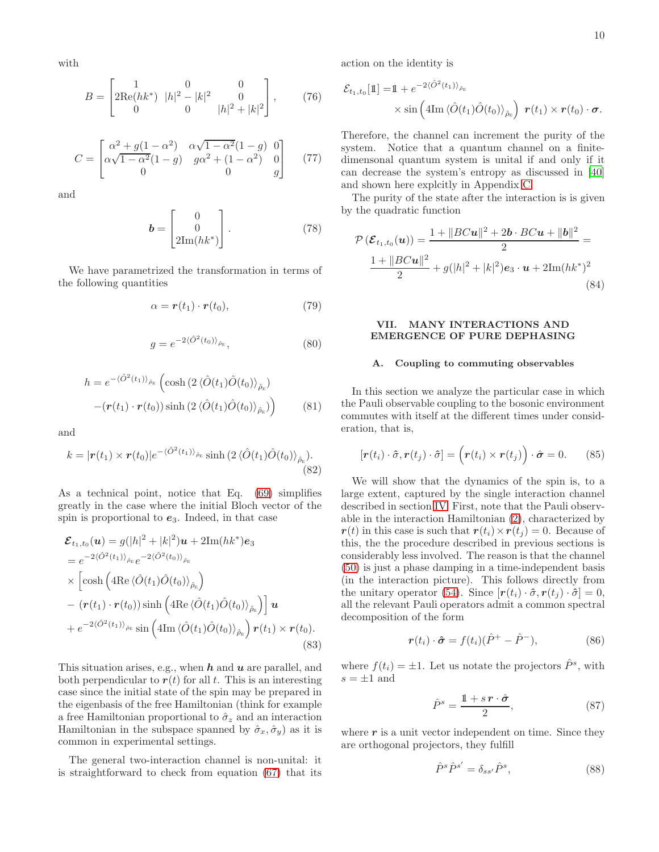with

$$
B = \begin{bmatrix} 1 & 0 & 0 \\ 2\text{Re}(hk^*) & |h|^2 - |k|^2 & 0 \\ 0 & 0 & |h|^2 + |k|^2 \end{bmatrix}, \qquad (76)
$$

$$
C = \begin{bmatrix} \alpha^2 + g(1 - \alpha^2) & \alpha\sqrt{1 - \alpha^2}(1 - g) & 0\\ \alpha\sqrt{1 - \alpha^2}(1 - g) & g\alpha^2 + (1 - \alpha^2) & 0\\ 0 & 0 & g \end{bmatrix}
$$
(77)

and

$$
\boldsymbol{b} = \begin{bmatrix} 0 \\ 0 \\ 2\mathrm{Im}(hk^*) \end{bmatrix} . \tag{78}
$$

We have parametrized the transformation in terms of the following quantities

$$
\alpha = \boldsymbol{r}(t_1) \cdot \boldsymbol{r}(t_0), \tag{79}
$$

$$
g = e^{-2\langle \hat{O}^2(t_0) \rangle_{\hat{\rho}_E}},\tag{80}
$$

$$
h = e^{-\langle \hat{O}^2(t_1) \rangle_{\hat{\rho}_E}} \left( \cosh\left(2 \langle \hat{O}(t_1) \hat{O}(t_0) \rangle_{\hat{\rho}_E} \right) - \left( \mathbf{r}(t_1) \cdot \mathbf{r}(t_0) \right) \sinh\left(2 \langle \hat{O}(t_1) \hat{O}(t_0) \rangle_{\hat{\rho}_E} \right) \right)
$$
(81)

and

$$
k = |\boldsymbol{r}(t_1) \times \boldsymbol{r}(t_0)| e^{-\langle \hat{O}^2(t_1) \rangle_{\hat{\rho}_E}} \sinh\left(2 \langle \hat{O}(t_1) \hat{O}(t_0) \rangle_{\hat{\rho}_E}\right).
$$
\n(82)

As a technical point, notice that Eq. [\(69\)](#page-8-1) simplifies greatly in the case where the initial Bloch vector of the spin is proportional to  $e_3$ . Indeed, in that case

$$
\mathcal{E}_{t_1,t_0}(\mathbf{u}) = g(|h|^2 + |k|^2)\mathbf{u} + 2\mathrm{Im}(hk^*)e_3
$$
\n
$$
= e^{-2\langle \hat{O}^2(t_1) \rangle_{\hat{\rho}_E}} e^{-2\langle \hat{O}^2(t_0) \rangle_{\hat{\rho}_E}}
$$
\n
$$
\times \left[ \cosh \left( 4\mathrm{Re} \langle \hat{O}(t_1) \hat{O}(t_0) \rangle_{\hat{\rho}_E} \right) - \left( \mathbf{r}(t_1) \cdot \mathbf{r}(t_0) \right) \sinh \left( 4\mathrm{Re} \langle \hat{O}(t_1) \hat{O}(t_0) \rangle_{\hat{\rho}_E} \right) \right] \mathbf{u}
$$
\n
$$
+ e^{-2\langle \hat{O}^2(t_1) \rangle_{\hat{\rho}_E}} \sin \left( 4\mathrm{Im} \langle \hat{O}(t_1) \hat{O}(t_0) \rangle_{\hat{\rho}_E} \right) \mathbf{r}(t_1) \times \mathbf{r}(t_0).
$$
\n(83)

This situation arises, e.g., when  $h$  and  $u$  are parallel, and both perpendicular to  $r(t)$  for all t. This is an interesting case since the initial state of the spin may be prepared in the eigenbasis of the free Hamiltonian (think for example a free Hamiltonian proportional to  $\hat{\sigma}_z$  and an interaction Hamiltonian in the subspace spanned by  $\hat{\sigma}_x, \hat{\sigma}_y$  as it is common in experimental settings.

The general two-interaction channel is non-unital: it is straightforward to check from equation [\(67\)](#page-8-2) that its action on the identity is

$$
\mathcal{E}_{t_1,t_0}[\mathbb{1}] = \mathbb{1} + e^{-2\langle \hat{O}^2(t_1) \rangle_{\hat{\rho}_E}} \times \sin \left( 4\mathrm{Im} \langle \hat{O}(t_1) \hat{O}(t_0) \rangle_{\hat{\rho}_E} \right) \, \mathbf{r}(t_1) \times \mathbf{r}(t_0) \cdot \boldsymbol{\sigma}.
$$

<span id="page-9-3"></span>Therefore, the channel can increment the purity of the system. Notice that a quantum channel on a finitedimensonal quantum system is unital if and only if it can decrease the system's entropy as discussed in [\[40](#page-18-30)] and shown here explcitly in Appendix [C.](#page-17-0)

The purity of the state after the interaction is is given by the quadratic function

$$
\mathcal{P}\left(\mathcal{E}_{t_1,t_0}(\boldsymbol{u})\right) = \frac{1 + \|BC\boldsymbol{u}\|^2 + 2\boldsymbol{b} \cdot BC\boldsymbol{u} + \|\boldsymbol{b}\|^2}{2} =
$$
  

$$
\frac{1 + \|BC\boldsymbol{u}\|^2}{2} + g(|h|^2 + |k|^2)e_3 \cdot \boldsymbol{u} + 2\text{Im}(hk^*)^2
$$
(84)

# <span id="page-9-0"></span>VII. MANY INTERACTIONS AND EMERGENCE OF PURE DEPHASING

### A. Coupling to commuting observables

<span id="page-9-1"></span>In this section we analyze the particular case in which the Pauli observable coupling to the bosonic environment commutes with itself at the different times under consideration, that is,

$$
[\mathbf{r}(t_i)\cdot\hat{\sigma}, \mathbf{r}(t_j)\cdot\hat{\sigma}] = (\mathbf{r}(t_i)\times\mathbf{r}(t_j))\cdot\hat{\sigma} = 0. \quad (85)
$$

<span id="page-9-2"></span>We will show that the dynamics of the spin is, to a large extent, captured by the single interaction channel described in section [IV.](#page-4-0) First, note that the Pauli observable in the interaction Hamiltonian [\(2\)](#page-1-2), characterized by  $r(t)$  in this case is such that  $r(t_i)\times r(t_i) = 0$ . Because of this, the the procedure described in previous sections is considerably less involved. The reason is that the channel [\(50\)](#page-6-4) is just a phase damping in a time-independent basis (in the interaction picture). This follows directly from the unitary operator [\(54\)](#page-6-3). Since  $[r(t_i)\cdot \hat{\sigma}, r(t_i)\cdot \hat{\sigma}] = 0$ , all the relevant Pauli operators admit a common spectral decomposition of the form

$$
\boldsymbol{r}(t_i) \cdot \hat{\boldsymbol{\sigma}} = f(t_i)(\hat{P}^+ - \hat{P}^-), \tag{86}
$$

where  $f(t_i) = \pm 1$ . Let us notate the projectors  $\hat{P}^s$ , with  $s = \pm 1$  and

<span id="page-9-4"></span>
$$
\hat{P}^s = \frac{\mathbb{1} + s\,\mathbf{r} \cdot \hat{\boldsymbol{\sigma}}}{2},\tag{87}
$$

where  $r$  is a unit vector independent on time. Since they are orthogonal projectors, they fulfill

$$
\hat{P}^s \hat{P}^{s'} = \delta_{ss'} \hat{P}^s,\tag{88}
$$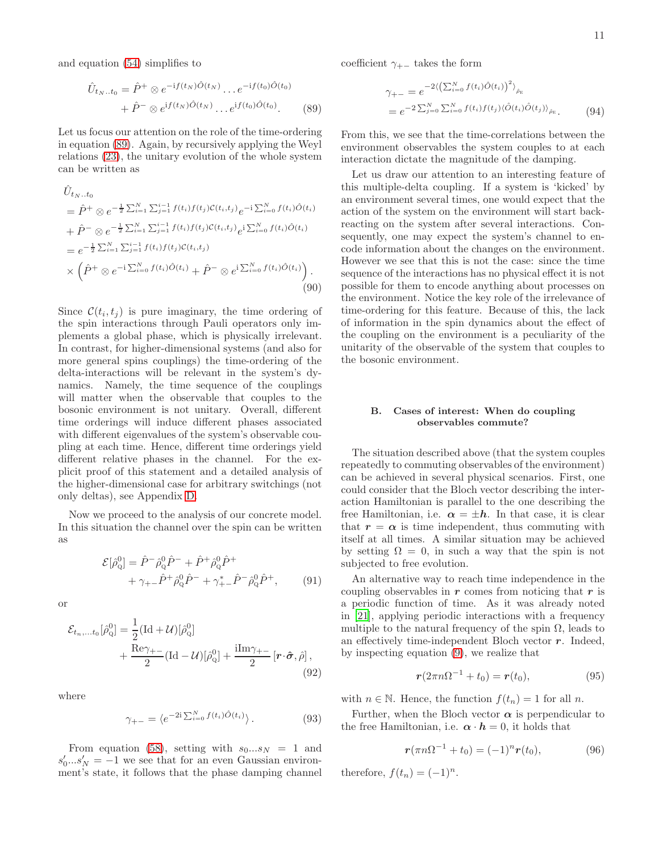and equation [\(54\)](#page-6-3) simplifies to

$$
\hat{U}_{t_N..t_0} = \hat{P}^+ \otimes e^{-if(t_N)\hat{O}(t_N)} \dots e^{-if(t_0)\hat{O}(t_0)} \n+ \hat{P}^- \otimes e^{if(t_N)\hat{O}(t_N)} \dots e^{if(t_0)\hat{O}(t_0)}.
$$
\n(89)

Let us focus our attention on the role of the time-ordering in equation [\(89\)](#page-10-0). Again, by recursively applying the Weyl relations [\(23\)](#page-3-0), the unitary evolution of the whole system can be written as

$$
\hat{U}_{t_N..t_0} \n= \hat{P}^+ \otimes e^{-\frac{1}{2}\sum_{i=1}^N \sum_{j=1}^{i-1} f(t_i)f(t_j)C(t_i,t_j)} e^{-i\sum_{i=0}^N f(t_i)\hat{O}(t_i)} \n+ \hat{P}^- \otimes e^{-\frac{1}{2}\sum_{i=1}^N \sum_{j=1}^{i-1} f(t_i)f(t_j)C(t_i,t_j)} e^{i\sum_{i=0}^N f(t_i)\hat{O}(t_i)} \n= e^{-\frac{1}{2}\sum_{i=1}^N \sum_{j=1}^{i-1} f(t_i)f(t_j)C(t_i,t_j)} \n\times (\hat{P}^+ \otimes e^{-i\sum_{i=0}^N f(t_i)\hat{O}(t_i)} + \hat{P}^- \otimes e^{i\sum_{i=0}^N f(t_i)\hat{O}(t_i)}).
$$
\n(90)

Since  $\mathcal{C}(t_i, t_j)$  is pure imaginary, the time ordering of the spin interactions through Pauli operators only implements a global phase, which is physically irrelevant. In contrast, for higher-dimensional systems (and also for more general spins couplings) the time-ordering of the delta-interactions will be relevant in the system's dynamics. Namely, the time sequence of the couplings will matter when the observable that couples to the bosonic environment is not unitary. Overall, different time orderings will induce different phases associated with different eigenvalues of the system's observable coupling at each time. Hence, different time orderings yield different relative phases in the channel. For the explicit proof of this statement and a detailed analysis of the higher-dimensional case for arbitrary switchings (not only deltas), see Appendix [D.](#page-17-1)

Now we proceed to the analysis of our concrete model. In this situation the channel over the spin can be written as

$$
\mathcal{E}[\hat{\rho}_Q^0] = \hat{P}^- \hat{\rho}_Q^0 \hat{P}^- + \hat{P}^+ \hat{\rho}_Q^0 \hat{P}^+ + \gamma_{+-} \hat{P}^+ \hat{\rho}_Q^0 \hat{P}^- + \gamma_{+-}^* \hat{P}^- \hat{\rho}_Q^0 \hat{P}^+, \qquad (91)
$$

or

$$
\mathcal{E}_{t_n,\dots,t_0}[\hat{\rho}_{\mathbf{Q}}^0] = \frac{1}{2} (\text{Id} + \mathcal{U})[\hat{\rho}_{\mathbf{Q}}^0] + \frac{\text{Re}\gamma_{+-}}{2} (\text{Id} - \mathcal{U})[\hat{\rho}_{\mathbf{Q}}^0] + \frac{\text{i}\text{Im}\gamma_{+-}}{2} [\mathbf{r} \cdot \hat{\boldsymbol{\sigma}}, \hat{\rho}],
$$
\n(92)

where

$$
\gamma_{+-} = \langle e^{-2i \sum_{i=0}^{N} f(t_i) \hat{O}(t_i)} \rangle. \tag{93}
$$

From equation [\(58\)](#page-7-3), setting with  $s_0...s_N = 1$  and  $s'_0...s'_N = -1$  we see that for an even Gaussian environment's state, it follows that the phase damping channel coefficient  $\gamma_{+-}$  takes the form

$$
\gamma_{+-} = e^{-2\left(\sum_{i=0}^{N} f(t_i)\hat{O}(t_i)\right)^2\rangle_{\hat{\rho}_{E}}}
$$
  
=  $e^{-2\sum_{j=0}^{N} \sum_{i=0}^{N} f(t_i)f(t_j)\left\langle \hat{O}(t_i)\hat{O}(t_j)\right\rangle_{\hat{\rho}_{E}}}.$  (94)

<span id="page-10-0"></span>From this, we see that the time-correlations between the environment observables the system couples to at each interaction dictate the magnitude of the damping.

Let us draw our attention to an interesting feature of this multiple-delta coupling. If a system is 'kicked' by an environment several times, one would expect that the action of the system on the environment will start backreacting on the system after several interactions. Consequently, one may expect the system's channel to encode information about the changes on the environment. However we see that this is not the case: since the time sequence of the interactions has no physical effect it is not possible for them to encode anything about processes on the environment. Notice the key role of the irrelevance of time-ordering for this feature. Because of this, the lack of information in the spin dynamics about the effect of the coupling on the environment is a peculiarity of the unitarity of the observable of the system that couples to the bosonic environment.

# B. Cases of interest: When do coupling observables commute?

The situation described above (that the system couples repeatedly to commuting observables of the environment) can be achieved in several physical scenarios. First, one could consider that the Bloch vector describing the interaction Hamiltonian is parallel to the one describing the free Hamiltonian, i.e.  $\alpha = \pm h$ . In that case, it is clear that  $r = \alpha$  is time independent, thus commuting with itself at all times. A similar situation may be achieved by setting  $\Omega = 0$ , in such a way that the spin is not subjected to free evolution.

An alternative way to reach time independence in the coupling observables in  $r$  comes from noticing that  $r$  is a periodic function of time. As it was already noted in [\[21](#page-18-16)], applying periodic interactions with a frequency multiple to the natural frequency of the spin  $\Omega$ , leads to an effectively time-independent Bloch vector  $r$ . Indeed, by inspecting equation [\(9\)](#page-1-4), we realize that

$$
r(2\pi n\Omega^{-1} + t_0) = r(t_0), \tag{95}
$$

with  $n \in \mathbb{N}$ . Hence, the function  $f(t_n) = 1$  for all n.

<span id="page-10-1"></span>Further, when the Bloch vector  $\alpha$  is perpendicular to the free Hamiltonian, i.e.  $\alpha \cdot h = 0$ , it holds that

$$
r(\pi n\Omega^{-1} + t_0) = (-1)^n r(t_0), \qquad (96)
$$

therefore,  $f(t_n) = (-1)^n$ .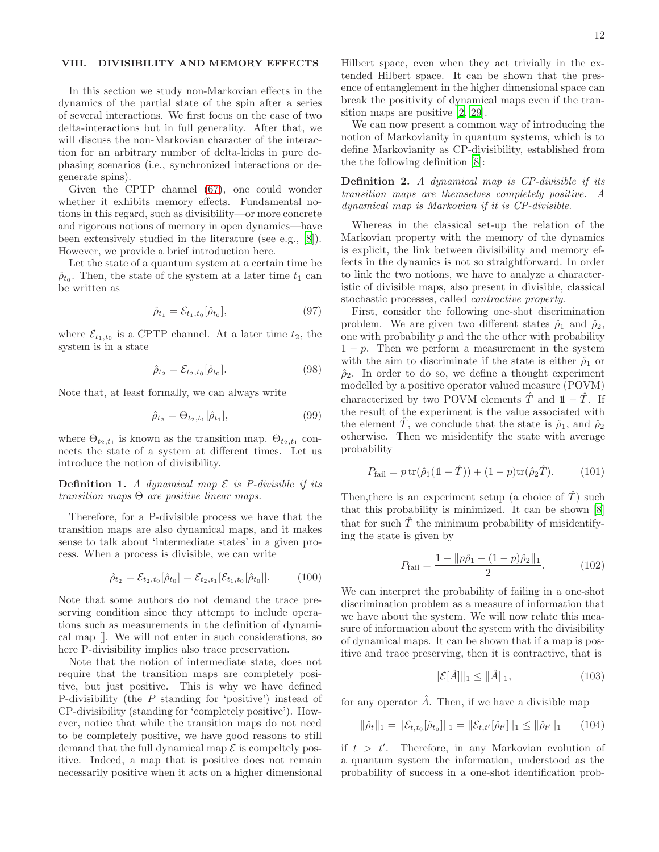# <span id="page-11-0"></span>VIII. DIVISIBILITY AND MEMORY EFFECTS

In this section we study non-Markovian effects in the dynamics of the partial state of the spin after a series of several interactions. We first focus on the case of two delta-interactions but in full generality. After that, we will discuss the non-Markovian character of the interaction for an arbitrary number of delta-kicks in pure dephasing scenarios (i.e., synchronized interactions or degenerate spins).

Given the CPTP channel [\(67\)](#page-8-2), one could wonder whether it exhibits memory effects. Fundamental notions in this regard, such as divisibility—or more concrete and rigorous notions of memory in open dynamics—have been extensively studied in the literature (see e.g., [\[8\]](#page-18-7)). However, we provide a brief introduction here.

Let the state of a quantum system at a certain time be  $\hat{\rho}_{t_0}$ . Then, the state of the system at a later time  $t_1$  can be written as

$$
\hat{\rho}_{t_1} = \mathcal{E}_{t_1, t_0}[\hat{\rho}_{t_0}], \tag{97}
$$

where  $\mathcal{E}_{t_1,t_0}$  is a CPTP channel. At a later time  $t_2$ , the system is in a state

$$
\hat{\rho}_{t_2} = \mathcal{E}_{t_2, t_0}[\hat{\rho}_{t_0}]. \tag{98}
$$

Note that, at least formally, we can always write

$$
\hat{\rho}_{t_2} = \Theta_{t_2, t_1}[\hat{\rho}_{t_1}], \tag{99}
$$

where  $\Theta_{t_2,t_1}$  is known as the transition map.  $\Theta_{t_2,t_1}$  connects the state of a system at different times. Let us introduce the notion of divisibility.

**Definition 1.** A dynamical map  $\mathcal E$  is P-divisible if its transition maps  $\Theta$  are positive linear maps.

Therefore, for a P-divisible process we have that the transition maps are also dynamical maps, and it makes sense to talk about 'intermediate states' in a given process. When a process is divisible, we can write

$$
\hat{\rho}_{t_2} = \mathcal{E}_{t_2, t_0}[\hat{\rho}_{t_0}] = \mathcal{E}_{t_2, t_1}[\mathcal{E}_{t_1, t_0}[\hat{\rho}_{t_0}]]. \qquad (100)
$$

Note that some authors do not demand the trace preserving condition since they attempt to include operations such as measurements in the definition of dynamical map []. We will not enter in such considerations, so here P-divisibility implies also trace preservation.

Note that the notion of intermediate state, does not require that the transition maps are completely positive, but just positive. This is why we have defined P-divisibility (the P standing for 'positive') instead of CP-divisibility (standing for 'completely positive'). However, notice that while the transition maps do not need to be completely positive, we have good reasons to still demand that the full dynamical map  $\mathcal E$  is compeltely positive. Indeed, a map that is positive does not remain necessarily positive when it acts on a higher dimensional Hilbert space, even when they act trivially in the extended Hilbert space. It can be shown that the presence of entanglement in the higher dimensional space can break the positivity of dynamical maps even if the transition maps are positive [\[2,](#page-18-1) [29\]](#page-18-20).

We can now present a common way of introducing the notion of Markovianity in quantum systems, which is to define Markovianity as CP-divisibility, established from the the following definition [\[8](#page-18-7)]:

Definition 2. A dynamical map is CP-divisible if its transition maps are themselves completely positive. A dynamical map is Markovian if it is CP-divisible.

Whereas in the classical set-up the relation of the Markovian property with the memory of the dynamics is explicit, the link between divisibility and memory effects in the dynamics is not so straightforward. In order to link the two notions, we have to analyze a characteristic of divisible maps, also present in divisible, classical stochastic processes, called contractive property.

First, consider the following one-shot discrimination problem. We are given two different states  $\hat{\rho}_1$  and  $\hat{\rho}_2$ , one with probability  $p$  and the the other with probability  $1 - p$ . Then we perform a measurement in the system with the aim to discriminate if the state is either  $\hat{\rho}_1$  or  $\hat{\rho}_2$ . In order to do so, we define a thought experiment modelled by a positive operator valued measure (POVM) characterized by two POVM elements  $\hat{T}$  and  $1-\hat{T}$ . If the result of the experiment is the value associated with the element T, we conclude that the state is  $\hat{\rho}_1$ , and  $\hat{\rho}_2$ otherwise. Then we misidentify the state with average probability

$$
P_{\text{fail}} = p \operatorname{tr}(\hat{\rho}_1(\mathbb{1} - \hat{T})) + (1 - p) \operatorname{tr}(\hat{\rho}_2 \hat{T}). \tag{101}
$$

Then, there is an experiment setup (a choice of  $\hat{T}$ ) such that this probability is minimized. It can be shown [\[8](#page-18-7)] that for such  $\hat{T}$  the minimum probability of misidentifying the state is given by

$$
P_{\text{fail}} = \frac{1 - \|p\hat{\rho}_1 - (1 - p)\hat{\rho}_2\|_1}{2}.
$$
 (102)

We can interpret the probability of failing in a one-shot discrimination problem as a measure of information that we have about the system. We will now relate this measure of information about the system with the divisibility of dynamical maps. It can be shown that if a map is positive and trace preserving, then it is contractive, that is

$$
\|\mathcal{E}[\hat{A}]\|_1 \le \|\hat{A}\|_1,\tag{103}
$$

for any operator  $\hat{A}$ . Then, if we have a divisible map

$$
\|\hat{\rho}_t\|_1 = \|\mathcal{E}_{t,t_0}[\hat{\rho}_{t_0}]\|_1 = \|\mathcal{E}_{t,t'}[\hat{\rho}_{t'}]\|_1 \le \|\hat{\rho}_{t'}\|_1 \qquad (104)
$$

if  $t > t'$ . Therefore, in any Markovian evolution of a quantum system the information, understood as the probability of success in a one-shot identification prob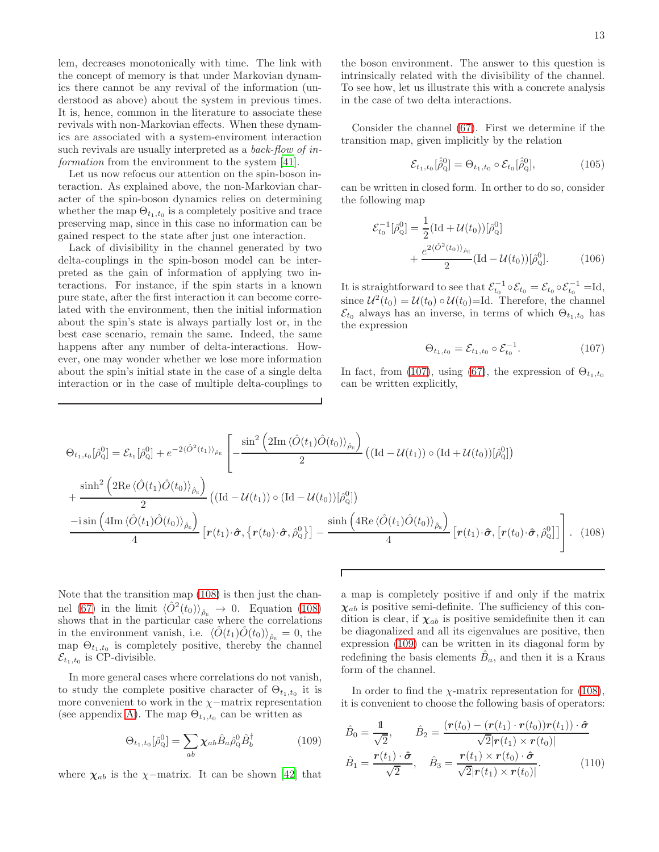lem, decreases monotonically with time. The link with the concept of memory is that under Markovian dynamics there cannot be any revival of the information (understood as above) about the system in previous times. It is, hence, common in the literature to associate these revivals with non-Markovian effects. When these dynamics are associated with a system-enviroment interaction such revivals are usually interpreted as a *back-flow of in-*formation from the environment to the system [\[41](#page-18-32)].

Let us now refocus our attention on the spin-boson interaction. As explained above, the non-Markovian character of the spin-boson dynamics relies on determining whether the map  $\Theta_{t_1,t_0}$  is a completely positive and trace preserving map, since in this case no information can be gained respect to the state after just one interaction.

Lack of divisibility in the channel generated by two delta-couplings in the spin-boson model can be interpreted as the gain of information of applying two interactions. For instance, if the spin starts in a known pure state, after the first interaction it can become correlated with the environment, then the initial information about the spin's state is always partially lost or, in the best case scenario, remain the same. Indeed, the same happens after any number of delta-interactions. However, one may wonder whether we lose more information about the spin's initial state in the case of a single delta interaction or in the case of multiple delta-couplings to

the boson environment. The answer to this question is intrinsically related with the divisibility of the channel. To see how, let us illustrate this with a concrete analysis in the case of two delta interactions.

Consider the channel [\(67\)](#page-8-2). First we determine if the transition map, given implicitly by the relation

$$
\mathcal{E}_{t_1, t_0}[\hat{\hat{\rho}}_Q^0] = \Theta_{t_1, t_0} \circ \mathcal{E}_{t_0}[\hat{\hat{\rho}}_Q^0], \tag{105}
$$

can be written in closed form. In orther to do so, consider the following map

$$
\mathcal{E}_{t_0}^{-1}[\hat{\rho}_{\mathbf{Q}}^0] = \frac{1}{2} (\text{Id} + \mathcal{U}(t_0))[\hat{\rho}_{\mathbf{Q}}^0] + \frac{e^{2\langle \hat{O}^2(t_0) \rangle_{\hat{\rho}_{\mathbf{E}}}}}{2} (\text{Id} - \mathcal{U}(t_0))[\hat{\rho}_{\mathbf{Q}}^0].
$$
 (106)

It is straightforward to see that  $\mathcal{E}_{t_0}^{-1} \circ \mathcal{E}_{t_0} = \mathcal{E}_{t_0} \circ \mathcal{E}_{t_0}^{-1} = \mathrm{Id},$ since  $\mathcal{U}^2(t_0) = \mathcal{U}(t_0) \circ \mathcal{U}(t_0) = \text{Id}$ . Therefore, the channel  $\mathcal{E}_{t_0}$  always has an inverse, in terms of which  $\Theta_{t_1,t_0}$  has the expression

<span id="page-12-1"></span><span id="page-12-0"></span>
$$
\Theta_{t_1, t_0} = \mathcal{E}_{t_1, t_0} \circ \mathcal{E}_{t_0}^{-1}.
$$
 (107)

In fact, from [\(107\)](#page-12-0), using [\(67\)](#page-8-2), the expression of  $\Theta_{t_1,t_0}$ can be written explicitly,

$$
\Theta_{t_1, t_0}[\hat{\rho}_Q^0] = \mathcal{E}_{t_1}[\hat{\rho}_Q^0] + e^{-2\langle \hat{O}^2(t_1) \rangle_{\hat{\rho}_E}} \left[ -\frac{\sin^2\left(2\mathrm{Im}\langle \hat{O}(t_1)\hat{O}(t_0) \rangle_{\hat{\rho}_E}\right)}{2} \left( (\mathrm{Id} - \mathcal{U}(t_1)) \circ (\mathrm{Id} + \mathcal{U}(t_0))[\hat{\rho}_Q^0] \right) \right] + \frac{\sinh^2\left(2\mathrm{Re}\langle \hat{O}(t_1)\hat{O}(t_0) \rangle_{\hat{\rho}_E}\right)}{2} \left( (\mathrm{Id} - \mathcal{U}(t_1)) \circ (\mathrm{Id} - \mathcal{U}(t_0))[\hat{\rho}_Q^0] \right)
$$
  

$$
\frac{-i \sin\left(4\mathrm{Im}\langle \hat{O}(t_1)\hat{O}(t_0) \rangle_{\hat{\rho}_E}\right)}{4} \left[ r(t_1) \cdot \hat{\sigma}, \{r(t_0) \cdot \hat{\sigma}, \hat{\rho}_Q^0\} \right] - \frac{\sinh\left(4\mathrm{Re}\langle \hat{O}(t_1)\hat{O}(t_0) \rangle_{\hat{\rho}_E}\right)}{4} \left[ r(t_1) \cdot \hat{\sigma}, \{r(t_0) \cdot \hat{\sigma}, \hat{\rho}_Q^0\} \right].
$$
 (108)

Note that the transition map [\(108\)](#page-12-1) is then just the chan-nel [\(67\)](#page-8-2) in the limit  $\langle \hat{O}^2(t_0) \rangle_{\hat{\rho}_E} \to 0$ . Equation [\(108\)](#page-12-1) shows that in the particular case where the correlations in the environment vanish, i.e.  $\langle \hat{O}(t_1)\hat{O}(t_0)\rangle_{\hat{\rho}_E} = 0$ , the map  $\Theta_{t_1,t_0}$  is completely positive, thereby the channel  $\mathcal{E}_{t_1,t_0}$  is CP-divisible.

In more general cases where correlations do not vanish, to study the complete positive character of  $\Theta_{t_1,t_0}$  it is more convenient to work in the  $\chi$ −matrix representation (see appendix [A\)](#page-15-0). The map  $\Theta_{t_1,t_0}$  can be written as

$$
\Theta_{t_1, t_0}[\hat{\rho}_Q^0] = \sum_{ab} \chi_{ab} \hat{B}_a \hat{\rho}_Q^0 \hat{B}_b^\dagger \tag{109}
$$

where  $\chi_{ab}$  is the  $\chi$ -matrix. It can be shown [\[42\]](#page-18-33) that

a map is completely positive if and only if the matrix  $\chi_{ab}$  is positive semi-definite. The sufficiency of this condition is clear, if  $\chi_{ab}$  is positive semidefinite then it can be diagonalized and all its eigenvalues are positive, then expression [\(109\)](#page-12-2) can be written in its diagonal form by redefining the basis elements  $\hat{B}_a$ , and then it is a Kraus form of the channel.

In order to find the  $\chi$ -matrix representation for [\(108\)](#page-12-1), it is convenient to choose the following basis of operators:

<span id="page-12-3"></span><span id="page-12-2"></span>
$$
\hat{B}_0 = \frac{1}{\sqrt{2}}, \qquad \hat{B}_2 = \frac{(r(t_0) - (r(t_1) \cdot r(t_0))r(t_1)) \cdot \hat{\sigma}}{\sqrt{2}|r(t_1) \times r(t_0)|}
$$
\n
$$
\hat{B}_1 = \frac{r(t_1) \cdot \hat{\sigma}}{\sqrt{2}}, \quad \hat{B}_3 = \frac{r(t_1) \times r(t_0) \cdot \hat{\sigma}}{\sqrt{2}|r(t_1) \times r(t_0)|}. \tag{110}
$$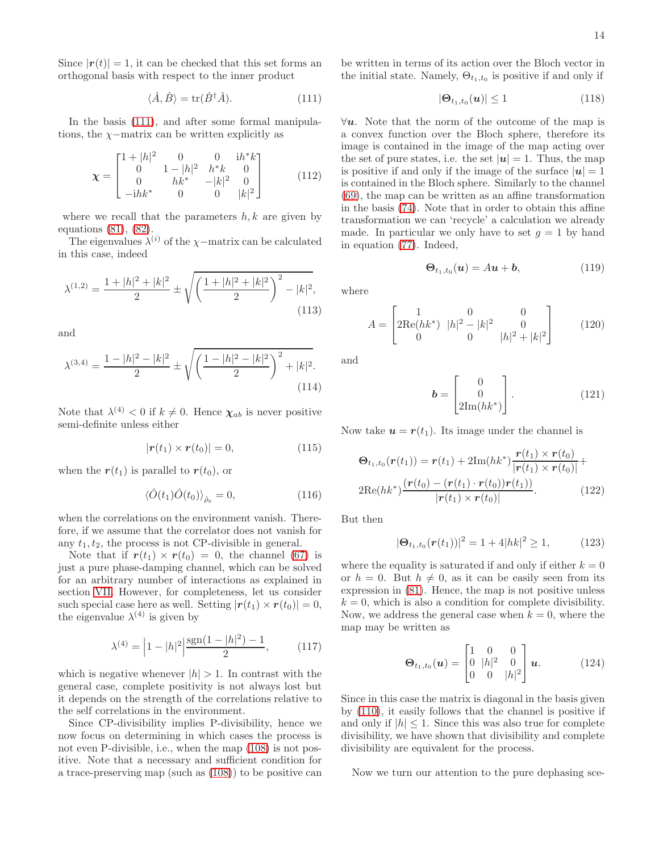Since  $|r(t)| = 1$ , it can be checked that this set forms an orthogonal basis with respect to the inner product

$$
\langle \hat{A}, \hat{B} \rangle = \text{tr}(\hat{B}^{\dagger} \hat{A}). \tag{111}
$$

In the basis [\(111\)](#page-13-0), and after some formal manipulations, the  $\chi$ −matrix can be written explicitly as

$$
\chi = \begin{bmatrix} 1+|h|^2 & 0 & 0 & \mathrm{i}h^*k \\ 0 & 1-|h|^2 & h^*k & 0 \\ 0 & hk^* & -|k|^2 & 0 \\ -\mathrm{i}hk^* & 0 & 0 & |k|^2 \end{bmatrix} \tag{112}
$$

where we recall that the parameters  $h, k$  are given by equations [\(81\)](#page-9-1), [\(82\)](#page-9-2).

The eigenvalues  $\lambda^{(i)}$  of the  $\chi$ -matrix can be calculated in this case, indeed

$$
\lambda^{(1,2)} = \frac{1+|h|^2+|k|^2}{2} \pm \sqrt{\left(\frac{1+|h|^2+|k|^2}{2}\right)^2-|k|^2},\tag{113}
$$

and

$$
\lambda^{(3,4)} = \frac{1 - |h|^2 - |k|^2}{2} \pm \sqrt{\left(\frac{1 - |h|^2 - |k|^2}{2}\right)^2 + |k|^2}.
$$
\n(114)

Note that  $\lambda^{(4)} < 0$  if  $k \neq 0$ . Hence  $\chi_{ab}$  is never positive semi-definite unless either

$$
|\boldsymbol{r}(t_1) \times \boldsymbol{r}(t_0)| = 0, \qquad (115)
$$

when the  $r(t_1)$  is parallel to  $r(t_0)$ , or

$$
\langle \hat{O}(t_1)\hat{O}(t_0)\rangle_{\hat{\rho}_E} = 0, \qquad (116)
$$

when the correlations on the environment vanish. Therefore, if we assume that the correlator does not vanish for any  $t_1, t_2$ , the process is not CP-divisible in general.

Note that if  $r(t_1) \times r(t_0) = 0$ , the channel [\(67\)](#page-8-2) is just a pure phase-damping channel, which can be solved for an arbitrary number of interactions as explained in section [VII.](#page-9-0) However, for completeness, let us consider such special case here as well. Setting  $|\mathbf{r}(t_1) \times \mathbf{r}(t_0)| = 0$ , the eigenvalue  $\lambda^{(4)}$  is given by

$$
\lambda^{(4)} = \left| 1 - |h|^2 \right| \frac{\text{sgn}(1 - |h|^2) - 1}{2},\tag{117}
$$

which is negative whenever  $|h| > 1$ . In contrast with the general case, complete positivity is not always lost but it depends on the strength of the correlations relative to the self correlations in the environment.

Since CP-divisibility implies P-divisibility, hence we now focus on determining in which cases the process is not even P-divisible, i.e., when the map [\(108\)](#page-12-1) is not positive. Note that a necessary and sufficient condition for a trace-preserving map (such as [\(108\)](#page-12-1)) to be positive can

<span id="page-13-0"></span>be written in terms of its action over the Bloch vector in the initial state. Namely,  $\Theta_{t_1,t_0}$  is positive if and only if

$$
|\mathbf{\Theta}_{t_1, t_0}(\boldsymbol{u})| \le 1 \tag{118}
$$

 $\forall u$ . Note that the norm of the outcome of the map is a convex function over the Bloch sphere, therefore its image is contained in the image of the map acting over the set of pure states, i.e. the set  $|u|=1$ . Thus, the map is positive if and only if the image of the surface  $|u|=1$ is contained in the Bloch sphere. Similarly to the channel [\(69\)](#page-8-1), the map can be written as an affine transformation in the basis [\(74\)](#page-8-3). Note that in order to obtain this affine transformation we can 'recycle' a calculation we already made. In particular we only have to set  $q = 1$  by hand in equation [\(77\)](#page-9-3). Indeed,

$$
\mathbf{\Theta}_{t_1, t_0}(\boldsymbol{u}) = A\boldsymbol{u} + \boldsymbol{b}, \tag{119}
$$

where

$$
A = \begin{bmatrix} 1 & 0 & 0 \\ 2\text{Re}(hk^*) & |h|^2 - |k|^2 & 0 \\ 0 & 0 & |h|^2 + |k|^2 \end{bmatrix}
$$
 (120)

and

$$
\boldsymbol{b} = \begin{bmatrix} 0 \\ 0 \\ 2\mathrm{Im}(hk^*) \end{bmatrix} . \tag{121}
$$

Now take  $u = r(t_1)$ . Its image under the channel is

$$
\Theta_{t_1, t_0}(\mathbf{r}(t_1)) = \mathbf{r}(t_1) + 2\mathrm{Im}(hk^*) \frac{\mathbf{r}(t_1) \times \mathbf{r}(t_0)}{|\mathbf{r}(t_1) \times \mathbf{r}(t_0)|} +
$$
  
2\mathrm{Re}(hk^\*) \frac{(\mathbf{r}(t\_0) - (\mathbf{r}(t\_1) \cdot \mathbf{r}(t\_0))\mathbf{r}(t\_1))}{|\mathbf{r}(t\_1) \times \mathbf{r}(t\_0)|}. \tag{122}

But then

$$
|\Theta_{t_1,t_0}(\boldsymbol{r}(t_1))|^2 = 1 + 4|h k|^2 \ge 1, \qquad (123)
$$

where the equality is saturated if and only if either  $k = 0$ or  $h = 0$ . But  $h \neq 0$ , as it can be easily seen from its expression in [\(81\)](#page-9-1). Hence, the map is not positive unless  $k = 0$ , which is also a condition for complete divisibility. Now, we address the general case when  $k = 0$ , where the map may be written as

$$
\mathbf{\Theta}_{t_1,t_0}(\mathbf{u}) = \begin{bmatrix} 1 & 0 & 0 \\ 0 & |h|^2 & 0 \\ 0 & 0 & |h|^2 \end{bmatrix} \mathbf{u}.
$$
 (124)

Since in this case the matrix is diagonal in the basis given by [\(110\)](#page-12-3), it easily follows that the channel is positive if and only if  $|h| \leq 1$ . Since this was also true for complete divisibility, we have shown that divisibility and complete divisibility are equivalent for the process.

Now we turn our attention to the pure dephasing sce-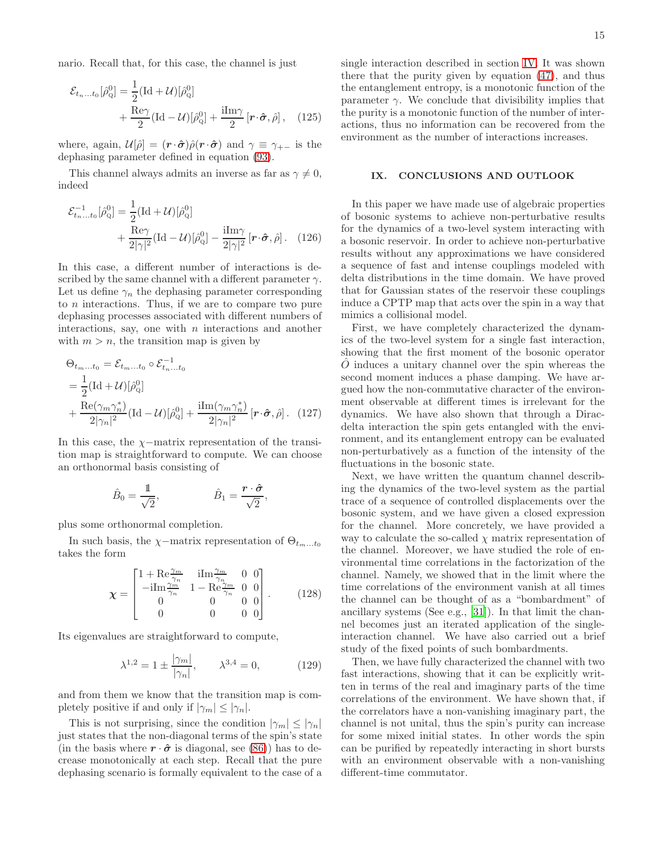nario. Recall that, for this case, the channel is just

$$
\mathcal{E}_{t_{n}...t_{0}}[\hat{\rho}_{Q}^{0}] = \frac{1}{2}(\text{Id} + \mathcal{U})[\hat{\rho}_{Q}^{0}] + \frac{\text{Re}\gamma}{2}(\text{Id} - \mathcal{U})[\hat{\rho}_{Q}^{0}] + \frac{\text{iIm}\gamma}{2}[\mathbf{r}\cdot\hat{\boldsymbol{\sigma}},\hat{\rho}], \quad (125)
$$

where, again,  $\mathcal{U}[\hat{\rho}] = (\mathbf{r} \cdot \hat{\boldsymbol{\sigma}}) \hat{\rho} (\mathbf{r} \cdot \hat{\boldsymbol{\sigma}})$  and  $\gamma \equiv \gamma_{+-}$  is the dephasing parameter defined in equation [\(93\)](#page-10-1).

This channel always admits an inverse as far as  $\gamma \neq 0$ , indeed

$$
\mathcal{E}_{t_n...t_0}^{-1}[\hat{\rho}_{\mathbf{Q}}^0] = \frac{1}{2} (\text{Id} + \mathcal{U})[\hat{\rho}_{\mathbf{Q}}^0] + \frac{\text{Re}\gamma}{2|\gamma|^2} (\text{Id} - \mathcal{U})[\hat{\rho}_{\mathbf{Q}}^0] - \frac{\text{i}\text{Im}\gamma}{2|\gamma|^2} [\mathbf{r} \cdot \hat{\boldsymbol{\sigma}}, \hat{\rho}] \,. \tag{126}
$$

In this case, a different number of interactions is described by the same channel with a different parameter  $\gamma$ . Let us define  $\gamma_n$  the dephasing parameter corresponding to  $n$  interactions. Thus, if we are to compare two pure dephasing processes associated with different numbers of interactions, say, one with  $n$  interactions and another with  $m > n$ , the transition map is given by

$$
\Theta_{t_m...t_0} = \mathcal{E}_{t_m...t_0} \circ \mathcal{E}_{t_n...t_0}^{-1}
$$
\n
$$
= \frac{1}{2} (\text{Id} + \mathcal{U}) [\hat{\rho}_Q^0]
$$
\n
$$
+ \frac{\text{Re}(\gamma_m \gamma_n^*)}{2|\gamma_n|^2} (\text{Id} - \mathcal{U}) [\hat{\rho}_Q^0] + \frac{\text{i} \text{Im}(\gamma_m \gamma_n^*)}{2|\gamma_n|^2} [\mathbf{r} \cdot \hat{\boldsymbol{\sigma}}, \hat{\rho}] . \tag{127}
$$

In this case, the  $\chi$ −matrix representation of the transition map is straightforward to compute. We can choose an orthonormal basis consisting of

$$
\hat{B}_0 = \frac{1}{\sqrt{2}}, \qquad \qquad \hat{B}_1 = \frac{r \cdot \hat{\sigma}}{\sqrt{2}},
$$

plus some orthonormal completion.

In such basis, the  $\chi$ −matrix representation of  $\Theta_{t_m...t_0}$ takes the form

$$
\chi = \begin{bmatrix} 1 + \text{Re}\frac{\gamma_m}{\gamma_n} & \text{iIm}\frac{\gamma_m}{\gamma_n} & 0 & 0\\ -\text{iIm}\frac{\gamma_m}{\gamma_n} & 1 - \text{Re}\frac{\gamma_m}{\gamma_n} & 0 & 0\\ 0 & 0 & 0 & 0\\ 0 & 0 & 0 & 0 \end{bmatrix} . \tag{128}
$$

Its eigenvalues are straightforward to compute,

$$
\lambda^{1,2} = 1 \pm \frac{|\gamma_m|}{|\gamma_n|}, \qquad \lambda^{3,4} = 0,\tag{129}
$$

and from them we know that the transition map is completely positive if and only if  $|\gamma_m| \leq |\gamma_n|$ .

This is not surprising, since the condition  $|\gamma_m| \leq |\gamma_n|$ just states that the non-diagonal terms of the spin's state (in the basis where  $\mathbf{r} \cdot \hat{\boldsymbol{\sigma}}$  is diagonal, see [\(86\)](#page-9-4)) has to decrease monotonically at each step. Recall that the pure dephasing scenario is formally equivalent to the case of a single interaction described in section [IV.](#page-4-0) It was shown there that the purity given by equation [\(47\)](#page-5-2), and thus the entanglement entropy, is a monotonic function of the parameter  $\gamma$ . We conclude that divisibility implies that the purity is a monotonic function of the number of interactions, thus no information can be recovered from the environment as the number of interactions increases.

# <span id="page-14-0"></span>IX. CONCLUSIONS AND OUTLOOK

In this paper we have made use of algebraic properties of bosonic systems to achieve non-perturbative results for the dynamics of a two-level system interacting with a bosonic reservoir. In order to achieve non-perturbative results without any approximations we have considered a sequence of fast and intense couplings modeled with delta distributions in the time domain. We have proved that for Gaussian states of the reservoir these couplings induce a CPTP map that acts over the spin in a way that mimics a collisional model.

First, we have completely characterized the dynamics of the two-level system for a single fast interaction, showing that the first moment of the bosonic operator  $O$  induces a unitary channel over the spin whereas the second moment induces a phase damping. We have argued how the non-commutative character of the environment observable at different times is irrelevant for the dynamics. We have also shown that through a Diracdelta interaction the spin gets entangled with the environment, and its entanglement entropy can be evaluated non-perturbatively as a function of the intensity of the fluctuations in the bosonic state.

Next, we have written the quantum channel describing the dynamics of the two-level system as the partial trace of a sequence of controlled displacements over the bosonic system, and we have given a closed expression for the channel. More concretely, we have provided a way to calculate the so-called  $\chi$  matrix representation of the channel. Moreover, we have studied the role of environmental time correlations in the factorization of the channel. Namely, we showed that in the limit where the time correlations of the environment vanish at all times the channel can be thought of as a "bombardment" of ancillary systems (See e.g., [\[31\]](#page-18-22)). In that limit the channel becomes just an iterated application of the singleinteraction channel. We have also carried out a brief study of the fixed points of such bombardments.

Then, we have fully characterized the channel with two fast interactions, showing that it can be explicitly written in terms of the real and imaginary parts of the time correlations of the environment. We have shown that, if the correlators have a non-vanishing imaginary part, the channel is not unital, thus the spin's purity can increase for some mixed initial states. In other words the spin can be purified by repeatedly interacting in short bursts with an environment observable with a non-vanishing different-time commutator.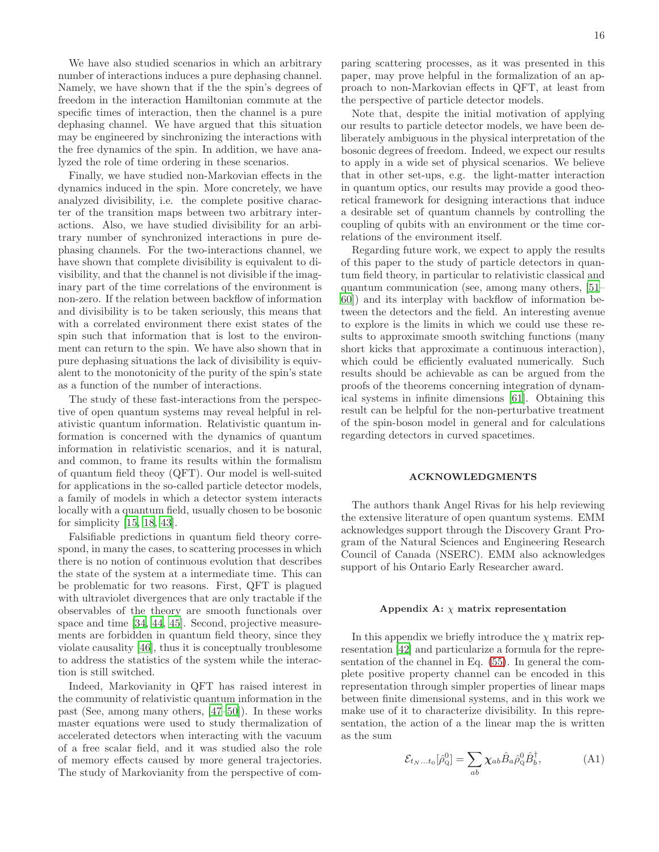We have also studied scenarios in which an arbitrary number of interactions induces a pure dephasing channel. Namely, we have shown that if the the spin's degrees of freedom in the interaction Hamiltonian commute at the specific times of interaction, then the channel is a pure dephasing channel. We have argued that this situation may be engineered by sinchronizing the interactions with the free dynamics of the spin. In addition, we have analyzed the role of time ordering in these scenarios.

Finally, we have studied non-Markovian effects in the dynamics induced in the spin. More concretely, we have analyzed divisibility, i.e. the complete positive character of the transition maps between two arbitrary interactions. Also, we have studied divisibility for an arbitrary number of synchronized interactions in pure dephasing channels. For the two-interactions channel, we have shown that complete divisibility is equivalent to divisibility, and that the channel is not divisible if the imaginary part of the time correlations of the environment is non-zero. If the relation between backflow of information and divisibility is to be taken seriously, this means that with a correlated environment there exist states of the spin such that information that is lost to the environment can return to the spin. We have also shown that in pure dephasing situations the lack of divisibility is equivalent to the monotonicity of the purity of the spin's state as a function of the number of interactions.

The study of these fast-interactions from the perspective of open quantum systems may reveal helpful in relativistic quantum information. Relativistic quantum information is concerned with the dynamics of quantum information in relativistic scenarios, and it is natural, and common, to frame its results within the formalism of quantum field theoy (QFT). Our model is well-suited for applications in the so-called particle detector models, a family of models in which a detector system interacts locally with a quantum field, usually chosen to be bosonic for simplicity [\[15,](#page-18-11) [18,](#page-18-14) [43\]](#page-18-34).

Falsifiable predictions in quantum field theory correspond, in many the cases, to scattering processes in which there is no notion of continuous evolution that describes the state of the system at a intermediate time. This can be problematic for two reasons. First, QFT is plagued with ultraviolet divergences that are only tractable if the observables of the theory are smooth functionals over space and time [\[34](#page-18-24), [44,](#page-18-35) [45\]](#page-18-36). Second, projective measurements are forbidden in quantum field theory, since they violate causality [\[46\]](#page-18-37), thus it is conceptually troublesome to address the statistics of the system while the interaction is still switched.

Indeed, Markovianity in QFT has raised interest in the community of relativistic quantum information in the past (See, among many others, [\[47](#page-18-38)[–50](#page-18-39)]). In these works master equations were used to study thermalization of accelerated detectors when interacting with the vacuum of a free scalar field, and it was studied also the role of memory effects caused by more general trajectories. The study of Markovianity from the perspective of comparing scattering processes, as it was presented in this paper, may prove helpful in the formalization of an approach to non-Markovian effects in QFT, at least from the perspective of particle detector models.

Note that, despite the initial motivation of applying our results to particle detector models, we have been deliberately ambiguous in the physical interpretation of the bosonic degrees of freedom. Indeed, we expect our results to apply in a wide set of physical scenarios. We believe that in other set-ups, e.g. the light-matter interaction in quantum optics, our results may provide a good theoretical framework for designing interactions that induce a desirable set of quantum channels by controlling the coupling of qubits with an environment or the time correlations of the environment itself.

Regarding future work, we expect to apply the results of this paper to the study of particle detectors in quantum field theory, in particular to relativistic classical and quantum communication (see, among many others, [\[51](#page-19-0)– [60\]](#page-19-1)) and its interplay with backflow of information between the detectors and the field. An interesting avenue to explore is the limits in which we could use these results to approximate smooth switching functions (many short kicks that approximate a continuous interaction), which could be efficiently evaluated numerically. Such results should be achievable as can be argued from the proofs of the theorems concerning integration of dynamical systems in infinite dimensions [\[61\]](#page-19-2). Obtaining this result can be helpful for the non-perturbative treatment of the spin-boson model in general and for calculations regarding detectors in curved spacetimes.

### ACKNOWLEDGMENTS

The authors thank Angel Rivas for his help reviewing the extensive literature of open quantum systems. EMM acknowledges support through the Discovery Grant Program of the Natural Sciences and Engineering Research Council of Canada (NSERC). EMM also acknowledges support of his Ontario Early Researcher award.

# <span id="page-15-0"></span>Appendix A:  $\chi$  matrix representation

In this appendix we briefly introduce the  $\chi$  matrix representation [\[42\]](#page-18-33) and particularize a formula for the representation of the channel in Eq. [\(55\)](#page-6-5). In general the complete positive property channel can be encoded in this representation through simpler properties of linear maps between finite dimensional systems, and in this work we make use of it to characterize divisibility. In this representation, the action of a the linear map the is written as the sum

<span id="page-15-1"></span>
$$
\mathcal{E}_{t_N...t_0}[\hat{\rho}_Q^0] = \sum_{ab} \chi_{ab} \hat{B}_a \hat{\rho}_Q^0 \hat{B}_b^\dagger, \tag{A1}
$$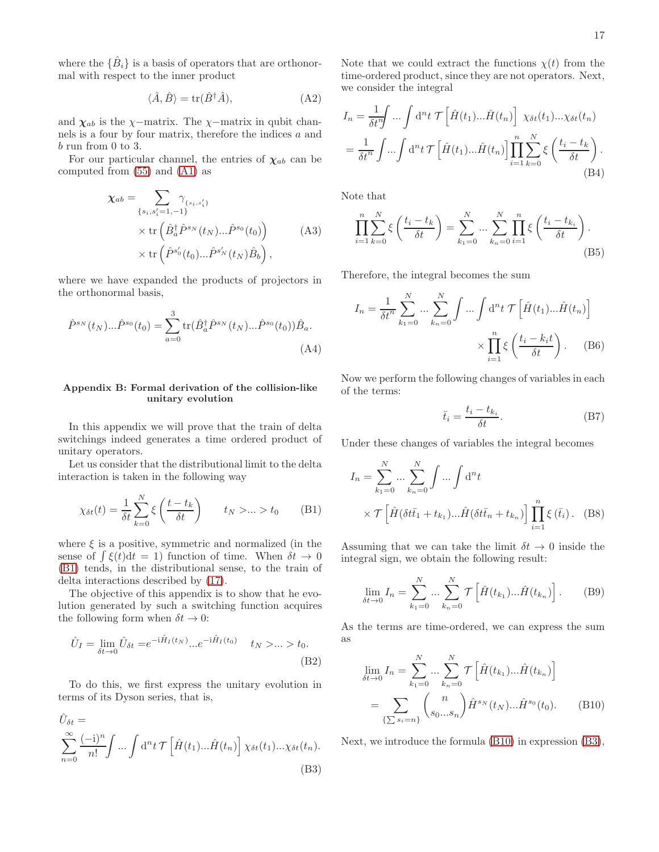where the  $\{\hat{B}_i\}$  is a basis of operators that are orthonormal with respect to the inner product

$$
\langle \hat{A}, \hat{B} \rangle = \text{tr}(\hat{B}^{\dagger} \hat{A}), \tag{A2}
$$

and  $\chi_{ab}$  is the  $\chi$ −matrix. The  $\chi$ −matrix in qubit channels is a four by four matrix, therefore the indices a and b run from 0 to 3.

For our particular channel, the entries of  $\chi_{ab}$  can be computed from [\(55\)](#page-6-5) and [\(A1\)](#page-15-1) as

$$
\chi_{ab} = \sum_{\{s_i, s'_i = 1, -1\}} \gamma_{\{s_i, s'_i\}}\n\times \text{tr}\left(\hat{B}_a^{\dagger} \hat{P}^{s_N}(t_N)...\hat{P}^{s_0}(t_0)\right)\n\times \text{tr}\left(\hat{P}^{s'_0}(t_0)...\hat{P}^{s'_N}(t_N)\hat{B}_b\right),
$$
\n(A3)

where we have expanded the products of projectors in the orthonormal basis,

$$
\hat{P}^{s_N}(t_N)... \hat{P}^{s_0}(t_0) = \sum_{a=0}^{3} \text{tr}(\hat{B}_a^{\dagger} \hat{P}^{s_N}(t_N)... \hat{P}^{s_0}(t_0)) \hat{B}_a.
$$
\n(A4)

# <span id="page-16-0"></span>Appendix B: Formal derivation of the collision-like unitary evolution

In this appendix we will prove that the train of delta switchings indeed generates a time ordered product of unitary operators.

Let us consider that the distributional limit to the delta interaction is taken in the following way

$$
\chi_{\delta t}(t) = \frac{1}{\delta t} \sum_{k=0}^{N} \xi \left( \frac{t - t_k}{\delta t} \right) \qquad t_N > \dots > t_0 \tag{B1}
$$

where  $\xi$  is a positive, symmetric and normalized (in the sense of  $\int \xi(t)dt = 1$ ) function of time. When  $\delta t \to 0$ [\(B1\)](#page-16-1) tends, in the distributional sense, to the train of delta interactions described by [\(17\)](#page-2-4).

The objective of this appendix is to show that he evolution generated by such a switching function acquires the following form when  $\delta t \to 0$ :

$$
\hat{U}_I = \lim_{\delta t \to 0} \hat{U}_{\delta t} = e^{-i\hat{H}_I(t_N)} \dots e^{-i\hat{H}_I(t_0)} \quad t_N > \dots > t_0.
$$
\n(B2)

To do this, we first express the unitary evolution in terms of its Dyson series, that is,

$$
\hat{U}_{\delta t} = \sum_{n=0}^{\infty} \frac{(-i)^n}{n!} \int \dots \int d^n t \mathcal{T} \left[ \hat{H}(t_1) \dots \hat{H}(t_n) \right] \chi_{\delta t}(t_1) \dots \chi_{\delta t}(t_n).
$$
\n(B3)

Note that we could extract the functions  $\chi(t)$  from the time-ordered product, since they are not operators. Next, we consider the integral

$$
I_n = \frac{1}{\delta t^n} \int \dots \int d^n t \mathcal{T} \left[ \hat{H}(t_1) \dots \hat{H}(t_n) \right] \chi_{\delta t}(t_1) \dots \chi_{\delta t}(t_n)
$$
  
= 
$$
\frac{1}{\delta t^n} \int \dots \int d^n t \mathcal{T} \left[ \hat{H}(t_1) \dots \hat{H}(t_n) \right] \prod_{i=1}^n \sum_{k=0}^N \xi \left( \frac{t_i - t_k}{\delta t} \right).
$$
(B4)

Note that

$$
\prod_{i=1}^{n} \sum_{k=0}^{N} \xi\left(\frac{t_i - t_k}{\delta t}\right) = \sum_{k_1=0}^{N} \dots \sum_{k_n=0}^{N} \prod_{i=1}^{n} \xi\left(\frac{t_i - t_{k_i}}{\delta t}\right).
$$
\n(B5)

Therefore, the integral becomes the sum

$$
I_n = \frac{1}{\delta t^n} \sum_{k_1=0}^N \dots \sum_{k_n=0}^N \int \dots \int d^n t \mathcal{T} \left[ \hat{H}(t_1) \dots \hat{H}(t_n) \right]
$$

$$
\times \prod_{i=1}^n \xi \left( \frac{t_i - k_i t}{\delta t} \right). \tag{B6}
$$

Now we perform the following changes of variables in each of the terms:

$$
\bar{t}_i = \frac{t_i - t_{k_i}}{\delta t}.
$$
 (B7)

Under these changes of variables the integral becomes

$$
I_n = \sum_{k_1=0}^{N} \dots \sum_{k_n=0}^{N} \int \dots \int d^n t
$$
  
 
$$
\times \mathcal{T} \left[ \hat{H} (\delta t \bar{t}_1 + t_{k_1}) \dots \hat{H} (\delta t \bar{t}_n + t_{k_n}) \right] \prod_{i=1}^{n} \xi (\bar{t}_i).
$$
 (B8)

<span id="page-16-1"></span>Assuming that we can take the limit  $\delta t \to 0$  inside the integral sign, we obtain the following result:

$$
\lim_{\delta t \to 0} I_n = \sum_{k_1=0}^{N} \dots \sum_{k_n=0}^{N} \mathcal{T} \left[ \hat{H}(t_{k_1}) \dots \hat{H}(t_{k_n}) \right].
$$
 (B9)

As the terms are time-ordered, we can express the sum as

<span id="page-16-2"></span>
$$
\lim_{\delta t \to 0} I_n = \sum_{k_1=0}^N \dots \sum_{k_n=0}^N \mathcal{T} \left[ \hat{H}(t_{k_1}) \dots \hat{H}(t_{k_n}) \right]
$$

$$
= \sum_{\{\sum s_i = n\}} \binom{n}{s_0 \dots s_n} \hat{H}^{s_N}(t_N) \dots \hat{H}^{s_0}(t_0). \tag{B10}
$$

<span id="page-16-3"></span>Next, we introduce the formula [\(B10\)](#page-16-2) in expression [\(B3\)](#page-16-3),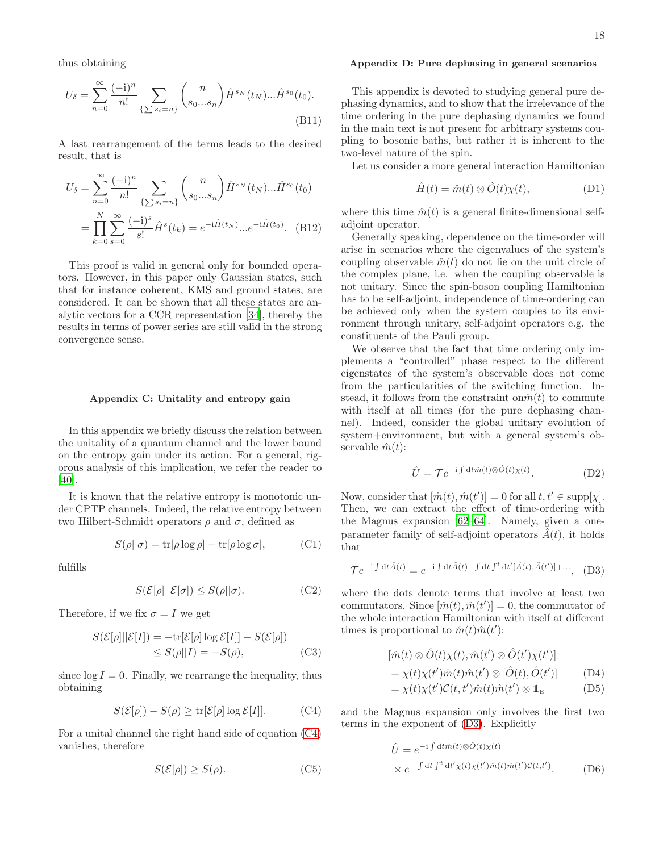thus obtaining

$$
U_{\delta} = \sum_{n=0}^{\infty} \frac{(-i)^n}{n!} \sum_{\{\sum s_i = n\}} {n \choose s_0...s_n} \hat{H}^{s_N}(t_N)... \hat{H}^{s_0}(t_0).
$$
\n(B11)

A last rearrangement of the terms leads to the desired result, that is

$$
U_{\delta} = \sum_{n=0}^{\infty} \frac{(-i)^n}{n!} \sum_{\{\sum s_i = n\}} {n \choose s_0...s_n} \hat{H}^{s_N}(t_N)... \hat{H}^{s_0}(t_0)
$$

$$
= \prod_{k=0}^{N} \sum_{s=0}^{\infty} \frac{(-i)^s}{s!} \hat{H}^{s}(t_k) = e^{-i\hat{H}(t_N)}...e^{-i\hat{H}(t_0)}.
$$
 (B12)

This proof is valid in general only for bounded operators. However, in this paper only Gaussian states, such that for instance coherent, KMS and ground states, are considered. It can be shown that all these states are analytic vectors for a CCR representation [\[34\]](#page-18-24), thereby the results in terms of power series are still valid in the strong convergence sense.

### <span id="page-17-0"></span>Appendix C: Unitality and entropy gain

In this appendix we briefly discuss the relation between the unitality of a quantum channel and the lower bound on the entropy gain under its action. For a general, rigorous analysis of this implication, we refer the reader to [\[40\]](#page-18-30).

It is known that the relative entropy is monotonic under CPTP channels. Indeed, the relative entropy between two Hilbert-Schmidt operators ρ and σ, defined as

$$
S(\rho||\sigma) = \text{tr}[\rho \log \rho] - \text{tr}[\rho \log \sigma],\tag{C1}
$$

fulfills

$$
S(\mathcal{E}[\rho]||\mathcal{E}[\sigma]) \le S(\rho||\sigma). \tag{C2}
$$

Therefore, if we fix  $\sigma = I$  we get

$$
S(\mathcal{E}[\rho]||\mathcal{E}[I]) = -\text{tr}[\mathcal{E}[\rho] \log \mathcal{E}[I]] - S(\mathcal{E}[\rho])
$$
  
\n
$$
\leq S(\rho||I) = -S(\rho), \tag{C3}
$$

since  $\log I = 0$ . Finally, we rearrange the inequality, thus obtaining

$$
S(\mathcal{E}[\rho]) - S(\rho) \ge \text{tr}[\mathcal{E}[\rho] \log \mathcal{E}[I]].
$$
 (C4)

For a unital channel the right hand side of equation [\(C4\)](#page-17-2) vanishes, therefore

$$
S(\mathcal{E}[\rho]) \ge S(\rho). \tag{C5}
$$

### <span id="page-17-1"></span>Appendix D: Pure dephasing in general scenarios

This appendix is devoted to studying general pure dephasing dynamics, and to show that the irrelevance of the time ordering in the pure dephasing dynamics we found in the main text is not present for arbitrary systems coupling to bosonic baths, but rather it is inherent to the two-level nature of the spin.

Let us consider a more general interaction Hamiltonian

$$
\hat{H}(t) = \hat{m}(t) \otimes \hat{O}(t)\chi(t), \tag{D1}
$$

where this time  $\hat{m}(t)$  is a general finite-dimensional selfadjoint operator.

Generally speaking, dependence on the time-order will arise in scenarios where the eigenvalues of the system's coupling observable  $\hat{m}(t)$  do not lie on the unit circle of the complex plane, i.e. when the coupling observable is not unitary. Since the spin-boson coupling Hamiltonian has to be self-adjoint, independence of time-ordering can be achieved only when the system couples to its environment through unitary, self-adjoint operators e.g. the constituents of the Pauli group.

We observe that the fact that time ordering only implements a "controlled" phase respect to the different eigenstates of the system's observable does not come from the particularities of the switching function. Instead, it follows from the constraint on  $\hat{m}(t)$  to commute with itself at all times (for the pure dephasing channel). Indeed, consider the global unitary evolution of system+environment, but with a general system's observable  $\hat{m}(t)$ :

<span id="page-17-3"></span>
$$
\hat{U} = \mathcal{T}e^{-i\int dt \hat{m}(t)\otimes \hat{O}(t)\chi(t)}.
$$
\n(D2)

Now, consider that  $[\hat{m}(t), \hat{m}(t')] = 0$  for all  $t, t' \in \text{supp}[\chi]$ . Then, we can extract the effect of time-ordering with the Magnus expansion [\[62–](#page-19-3)[64\]](#page-19-4). Namely, given a oneparameter family of self-adjoint operators  $\hat{A}(t)$ , it holds that

$$
\mathcal{T}e^{-i\int dt\hat{A}(t)} = e^{-i\int dt\hat{A}(t) - \int dt \int^t dt'[\hat{A}(t), \hat{A}(t')] + \dots}, \quad (D3)
$$

where the dots denote terms that involve at least two commutators. Since  $[\hat{m}(t), \hat{m}(t')] = 0$ , the commutator of the whole interaction Hamiltonian with itself at different times is proportional to  $\hat{m}(t)\hat{m}(t')$ :

$$
[\hat{m}(t) \otimes \hat{O}(t)\chi(t), \hat{m}(t') \otimes \hat{O}(t')\chi(t')] = \chi(t)\chi(t')\hat{m}(t)\hat{m}(t') \otimes [\hat{O}(t), \hat{O}(t')] = \chi(t)\chi(t')C(t, t')\hat{m}(t)\hat{m}(t') \otimes \mathbb{1}_{E}
$$
 (D5)

<span id="page-17-2"></span>and the Magnus expansion only involves the first two terms in the exponent of [\(D3\)](#page-17-3). Explicitly

$$
\hat{U} = e^{-i \int dt \hat{m}(t) \otimes \hat{O}(t) \chi(t)} \times e^{-\int dt \int^t dt' \chi(t) \chi(t') \hat{m}(t) \hat{m}(t') \mathcal{C}(t, t')}.
$$
\n(D6)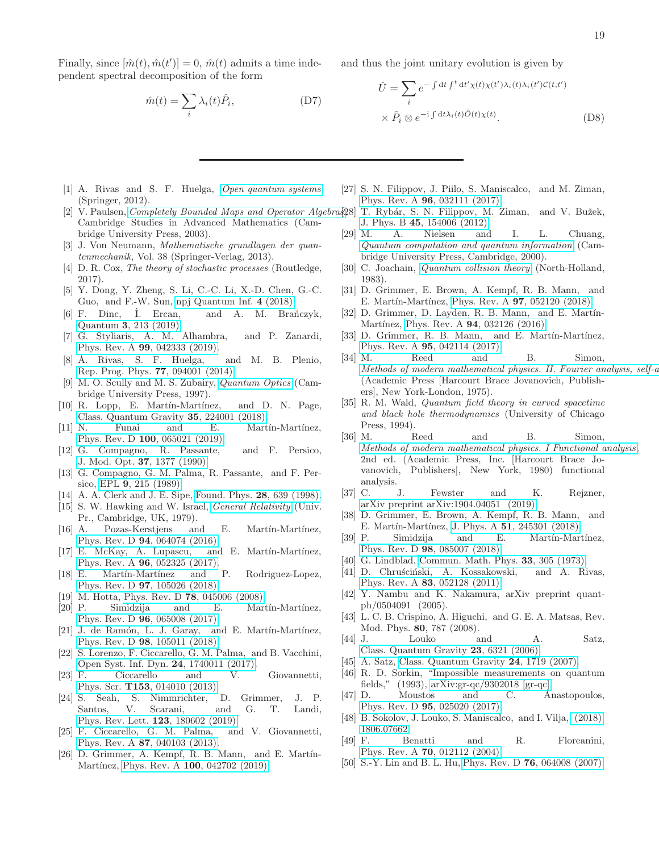Finally, since  $[\hat{m}(t), \hat{m}(t')] = 0$ ,  $\hat{m}(t)$  admits a time independent spectral decomposition of the form

$$
\hat{m}(t) = \sum_{i} \lambda_i(t)\hat{P}_i, \tag{D7}
$$

and thus the joint unitary evolution is given by

$$
\hat{U} = \sum_{i} e^{-\int dt \int^{t} dt' \chi(t) \chi(t') \lambda_i(t) \lambda_i(t') \mathcal{C}(t, t')}
$$

$$
\times \hat{P}_i \otimes e^{-i \int dt \lambda_i(t) \hat{O}(t) \chi(t)}.
$$
(D8)

- <span id="page-18-0"></span>[1] A. Rivas and S. F. Huelga, [Open quantum systems](https://www.springer.com/gp/book/9783642233531) (Springer, 2012).
- Cambridge Studies in Advanced Mathematics (Cambridge University Press, 2003).
- <span id="page-18-2"></span>[3] J. Von Neumann, Mathematische grundlagen der quantenmechanik, Vol. 38 (Springer-Verlag, 2013).
- <span id="page-18-3"></span>[4] D. R. Cox, The theory of stochastic processes (Routledge, 2017).
- <span id="page-18-4"></span>[5] Y. Dong, Y. Zheng, S. Li, C.-C. Li, X.-D. Chen, G.-C. Guo, and F.-W. Sun, [npj Quantum Inf.](http://dx.Doi.org/10.1038/s41534-017-0053-z) 4 (2018).
- <span id="page-18-5"></span>[6] F. Dinc, I. Ercan, and A. M. Branczyk, Quantum 3[, 213 \(2019\).](http://dx.doi.org/10.22331/q-2019-12-09-213)
- <span id="page-18-6"></span>[7] G. Styliaris, A. M. Alhambra, and P. Zanardi, Phys. Rev. A 99[, 042333 \(2019\).](http://dx.doi.org/10.1103/PhysRevA.99.042333)
- <span id="page-18-7"></span>[8] A. Rivas, S. F. Huelga, and M. B. Plenio, ´ [Rep. Prog. Phys.](http://dx.doi.org/10.1088/0034-4885/77/9/094001) 77, 094001 (2014).
- <span id="page-18-8"></span>[9] M. O. Scully and M. S. Zubairy, [Quantum Optics](http://dx.doi.org/10.1017/cbo9780511813993) (Cambridge University Press, 1997).
- <span id="page-18-9"></span>[10] R. Lopp, E. Martín-Martínez, and D. N. Page, [Class. Quantum Gravity](http://dx.doi.org/10.1088/1361-6382/aae750) 35, 224001 (2018).
- [11] N. Funai and E. Martin-Martinez, Phys. Rev. D 100[, 065021 \(2019\).](http://dx.doi.org/10.1103/PhysRevD.100.065021)
- [12] G. Compagno, R. Passante, and F. Persico, J. Mod. Opt. 37[, 1377 \(1990\).](http://dx.doi.org/10.1080/09500349014551511)
- [13] G. Compagno, G. M. Palma, R. Passante, and F. Persico, EPL 9[, 215 \(1989\).](http://dx.doi.org/10.1209/0295-5075/9/3/005)
- <span id="page-18-27"></span><span id="page-18-10"></span>[14] A. A. Clerk and J. E. Sipe, [Found. Phys.](http://dx.doi.org/10.1023/a:1018717823725) 28, 639 (1998).
- <span id="page-18-28"></span><span id="page-18-11"></span>[15] S. W. Hawking and W. Israel, *[General Relativity](http://www.cambridge.org/us/knowledge/isbn/item1131443/?site_locale=en_US)* (Univ. Pr., Cambridge, UK, 1979).
- <span id="page-18-29"></span><span id="page-18-12"></span>[16] A. Pozas-Kerstjens and E. Martín-Martínez, Phys. Rev. D 94[, 064074 \(2016\).](http://dx.doi.org/10.1103/PhysRevD.94.064074)
- <span id="page-18-30"></span><span id="page-18-13"></span>[17] E. McKay, A. Lupascu, and E. Martín-Martínez, Phys. Rev. A 96[, 052325 \(2017\).](http://dx.doi.org/10.1103/PhysRevA.96.052325)
- <span id="page-18-32"></span><span id="page-18-14"></span>[18] E. Martín-Martínez and P. Rodriguez-Lopez, Phys. Rev. D 97[, 105026 \(2018\).](http://dx.doi.org/ 10.1103/PhysRevD.97.105026)
- <span id="page-18-15"></span>[19] M. Hotta, Phys. Rev. D **78**[, 045006 \(2008\).](http://dx.doi.org/10.1103/PhysRevD.78.045006)
- <span id="page-18-34"></span><span id="page-18-33"></span>[20] P. Simidzija and E. Martín-Martínez, Phys. Rev. D 96[, 065008 \(2017\).](http://dx.doi.org/10.1103/PhysRevD.96.065008)
- <span id="page-18-16"></span>[21] J. de Ramón, L. J. Garay, and E. Martín-Martínez, Phys. Rev. D 98[, 105011 \(2018\).](http://dx.doi.org/10.1103/PhysRevD.98.105011)
- <span id="page-18-36"></span><span id="page-18-35"></span><span id="page-18-17"></span>[22] S. Lorenzo, F. Ciccarello, G. M. Palma, and B. Vacchini, [Open Syst. Inf. Dyn.](http://dx.doi.org/10.1142/s123016121740011x) 24, 1740011 (2017).
- <span id="page-18-37"></span>[23] F. Ciccarello and V. Giovannetti, Phys. Scr. **T153**[, 014010 \(2013\).](http://dx.doi.org/10.1088/0031-8949/2013/t153/014010)<br>[24] S. Seah, S. Nimmrichter,
- <span id="page-18-38"></span>S. Nimmrichter, D. Grimmer, J. P. Santos, V. Scarani, and G. T. Landi, [Phys. Rev. Lett.](http://dx.doi.org/ 10.1103/PhysRevLett.123.180602) 123, 180602 (2019).
- [25] F. Ciccarello, G. M. Palma, and V. Giovannetti, Phys. Rev. A 87[, 040103 \(2013\).](http://dx.doi.org/10.1103/PhysRevA.87.040103)
- <span id="page-18-39"></span> $[26]$  D. Grimmer, A. Kempf, R. B. Mann, and E. Martín-Martínez, Phys. Rev. A 100[, 042702 \(2019\).](http://dx.doi.org/10.1103/PhysRevA.100.042702)
- <span id="page-18-31"></span><span id="page-18-26"></span><span id="page-18-25"></span><span id="page-18-24"></span><span id="page-18-23"></span><span id="page-18-22"></span><span id="page-18-21"></span><span id="page-18-20"></span><span id="page-18-19"></span><span id="page-18-18"></span>[27] S. N. Filippov, J. Piilo, S. Maniscalco, and M. Ziman, Phys. Rev. A 96[, 032111 \(2017\).](http://dx.doi.org/10.1103/PhysRevA.96.032111)
- <span id="page-18-1"></span>[2] V. Paulsen, *Completely Bounded Maps and Operator Algebra* [28] T. Rybár, S. N. Filippov, M. Ziman, and V. Bužek, J. Phys. B 45[, 154006 \(2012\).](http://dx.doi.org/10.1088/0953-4075/45/15/154006)
	- [29] M. A. Nielsen and I. L. Chuang, [Quantum computation and quantum information](https://mathscinet.ams.org/mathscinet-getitem?mr=1796805) (Cambridge University Press, Cambridge, 2000).
	- [30] C. Joachain, *[Quantum collision theory](https://books.google.ca/books?id=9uo9AQAAIAAJ)* (North-Holland, 1983).
	- [31] D. Grimmer, E. Brown, A. Kempf, R. B. Mann, and E. Martín-Martínez, Phys. Rev. A 97[, 052120 \(2018\).](http://dx.doi.org/10.1103/PhysRevA.97.052120)
	- [32] D. Grimmer, D. Layden, R. B. Mann, and E. Martín-Martínez, Phys. Rev. A 94[, 032126 \(2016\).](http://dx.doi.org/10.1103/PhysRevA.94.032126)
	- [33] D. Grimmer, R. B. Mann, and E. Martín-Martínez, Phys. Rev. A 95[, 042114 \(2017\).](http://dx.doi.org/10.1103/PhysRevA.95.042114)
	- [34] M. Reed and B. Simon, Methods of modern mathematical physics. II. Fourier analysis, self- $a$ (Academic Press [Harcourt Brace Jovanovich, Publishers], New York-London, 1975).
	- [35] R. M. Wald, Quantum field theory in curved spacetime and black hole thermodynamics (University of Chicago Press, 1994).
	- [36] M. Reed and B. Simon, [Methods of modern mathematical physics. I Functional analysis](https://mathscinet.ams.org/mathscinet-getitem?mr=751959), 2nd ed. (Academic Press, Inc. [Harcourt Brace Jovanovich, Publishers], New York, 1980) functional analysis.
	- [37] C. J. Fewster and K. Rejzner, [arXiv preprint arXiv:1904.04051 \(2019\).](https://arxiv.org/pdf/1904.04051.pdf)
	- [38] D. Grimmer, E. Brown, A. Kempf, R. B. Mann, and E. Martín-Martínez, J. Phys. A 51[, 245301 \(2018\).](http://stacks.iop.org/1751-8121/51/i=24/a=245301)
	- [39] P. Simidzija and E. Martín-Martínez, Phys. Rev. D 98[, 085007 \(2018\).](http://dx.doi.org/10.1103/PhysRevD.98.085007)
	- [40] G. Lindblad, [Commun. Math. Phys.](http://dx.doi.org/10.1007/bf01646743) 33, 305 (1973).
	- [41] D. Chruściński, A. Kossakowski, and A. Rivas, Phys. Rev. A 83[, 052128 \(2011\).](http://dx.doi.org/10.1103/PhysRevA.83.052128)
	- [42] Y. Nambu and K. Nakamura, arXiv preprint quantph/0504091 (2005).
	- [43] L. C. B. Crispino, A. Higuchi, and G. E. A. Matsas, Rev. Mod. Phys. 80, 787 (2008).
	- [44] J. Louko and A. Satz, [Class. Quantum Gravity](http://dx.doi.org/10.1088/0264-9381/23/22/015) 23, 6321 (2006).
	- [45] A. Satz, [Class. Quantum Gravity](http://dx.doi.org/10.1088/0264-9381/24/7/003) 24, 1719 (2007).
	- [46] R. D. Sorkin, "Impossible measurements on quantum fields," (1993), [arXiv:gr-qc/9302018 \[gr-qc\].](http://arxiv.org/abs/gr-qc/9302018)
	- [47] D. Moustos and C. Anastopoulos, Phys. Rev. D 95[, 025020 \(2017\).](http://dx.doi.org/10.1103/PhysRevD.95.025020)
	- [48] B. Sokolov, J. Louko, S. Maniscalco, and I. Vilja, [\(2018\),](https://arxiv.org/pdf/1806.07662.pdf) [1806.07662.](http://arxiv.org/abs/1806.07662)
	- [49] F. Benatti and R. Floreanini, Phys. Rev. A 70[, 012112 \(2004\).](http://dx.doi.org/10.1103/PhysRevA.70.012112)
	- [50] S.-Y. Lin and B. L. Hu, Phys. Rev. D 76[, 064008 \(2007\).](http://dx.doi.org/10.1103/PhysRevD.76.064008)